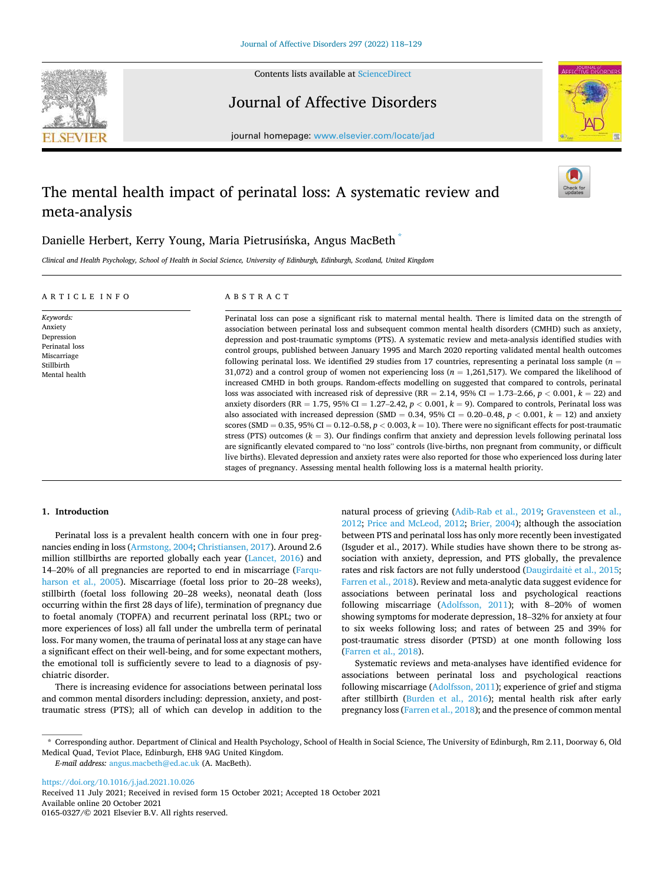

Contents lists available at [ScienceDirect](www.sciencedirect.com/science/journal/01650327)

Journal of Affective Disorders



journal homepage: [www.elsevier.com/locate/jad](https://www.elsevier.com/locate/jad)

# The mental health impact of perinatal loss: A systematic review and meta-analysis



# Danielle Herbert, Kerry Young, Maria Pietrusińska, Angus MacBeth $\degree$

*Clinical and Health Psychology, School of Health in Social Science, University of Edinburgh, Edinburgh, Scotland, United Kingdom* 

| ARTICLE INFO                                                                                       | A B S T R A C T                                                                                                                                                                                                                                                                                                                                                                                                                                                                                                                                                                                                                                                                                                                                                                                                                                                                                                                                                                                                                                                                                                                                                                                                                                                                                                                                                                                                                                                                                                                                                                                                                                                                                                                                                     |
|----------------------------------------------------------------------------------------------------|---------------------------------------------------------------------------------------------------------------------------------------------------------------------------------------------------------------------------------------------------------------------------------------------------------------------------------------------------------------------------------------------------------------------------------------------------------------------------------------------------------------------------------------------------------------------------------------------------------------------------------------------------------------------------------------------------------------------------------------------------------------------------------------------------------------------------------------------------------------------------------------------------------------------------------------------------------------------------------------------------------------------------------------------------------------------------------------------------------------------------------------------------------------------------------------------------------------------------------------------------------------------------------------------------------------------------------------------------------------------------------------------------------------------------------------------------------------------------------------------------------------------------------------------------------------------------------------------------------------------------------------------------------------------------------------------------------------------------------------------------------------------|
| Keywords:<br>Anxiety<br>Depression<br>Perinatal loss<br>Miscarriage<br>Stillbirth<br>Mental health | Perinatal loss can pose a significant risk to maternal mental health. There is limited data on the strength of<br>association between perinatal loss and subsequent common mental health disorders (CMHD) such as anxiety,<br>depression and post-traumatic symptoms (PTS). A systematic review and meta-analysis identified studies with<br>control groups, published between January 1995 and March 2020 reporting validated mental health outcomes<br>following perinatal loss. We identified 29 studies from 17 countries, representing a perinatal loss sample ( $n =$<br>31,072) and a control group of women not experiencing loss ( $n = 1,261,517$ ). We compared the likelihood of<br>increased CMHD in both groups. Random-effects modelling on suggested that compared to controls, perinatal<br>loss was associated with increased risk of depressive (RR = 2.14, 95% CI = 1.73–2.66, $p < 0.001$ , $k = 22$ ) and<br>anxiety disorders (RR = 1.75, 95% CI = 1.27–2.42, $p < 0.001$ , $k = 9$ ). Compared to controls, Perinatal loss was<br>also associated with increased depression (SMD = 0.34, 95% CI = 0.20–0.48, $p < 0.001$ , $k = 12$ ) and anxiety<br>scores (SMD = 0.35, 95% CI = 0.12–0.58, $p < 0.003$ , $k = 10$ ). There were no significant effects for post-traumatic<br>stress (PTS) outcomes ( $k = 3$ ). Our findings confirm that anxiety and depression levels following perinatal loss<br>are significantly elevated compared to "no loss" controls (live-births, non pregnant from community, or difficult<br>live births). Elevated depression and anxiety rates were also reported for those who experienced loss during later<br>stages of pregnancy. Assessing mental health following loss is a maternal health priority. |

# **1. Introduction**

Perinatal loss is a prevalent health concern with one in four pregnancies ending in loss [\(Armstong, 2004](#page-10-0); [Christiansen, 2017\)](#page-10-0). Around 2.6 million stillbirths are reported globally each year ([Lancet, 2016](#page-10-0)) and 14–20% of all pregnancies are reported to end in miscarriage ([Farqu](#page-10-0)[harson et al., 2005\)](#page-10-0). Miscarriage (foetal loss prior to 20–28 weeks), stillbirth (foetal loss following 20–28 weeks), neonatal death (loss occurring within the first 28 days of life), termination of pregnancy due to foetal anomaly (TOPFA) and recurrent perinatal loss (RPL; two or more experiences of loss) all fall under the umbrella term of perinatal loss. For many women, the trauma of perinatal loss at any stage can have a significant effect on their well-being, and for some expectant mothers, the emotional toll is sufficiently severe to lead to a diagnosis of psychiatric disorder.

There is increasing evidence for associations between perinatal loss and common mental disorders including: depression, anxiety, and posttraumatic stress (PTS); all of which can develop in addition to the natural process of grieving [\(Adib-Rab et al., 2019;](#page-9-0) [Gravensteen et al.,](#page-10-0)  [2012;](#page-10-0) [Price and McLeod, 2012;](#page-10-0) [Brier, 2004](#page-10-0)); although the association between PTS and perinatal loss has only more recently been investigated (Isguder et al., 2017). While studies have shown there to be strong association with anxiety, depression, and PTS globally, the prevalence rates and risk factors are not fully understood [\(Daugirdaite et al., 2015](#page-10-0); [Farren et al., 2018](#page-10-0)). Review and meta-analytic data suggest evidence for associations between perinatal loss and psychological reactions following miscarriage ([Adolfsson, 2011](#page-10-0)); with 8–20% of women showing symptoms for moderate depression, 18–32% for anxiety at four to six weeks following loss; and rates of between 25 and 39% for post-traumatic stress disorder (PTSD) at one month following loss ([Farren et al., 2018](#page-10-0)).

Systematic reviews and meta-analyses have identified evidence for associations between perinatal loss and psychological reactions following miscarriage [\(Adolfsson, 2011\)](#page-10-0); experience of grief and stigma after stillbirth ([Burden et al., 2016\)](#page-10-0); mental health risk after early pregnancy loss ([Farren et al., 2018\)](#page-10-0); and the presence of common mental

*E-mail address:* [angus.macbeth@ed.ac.uk](mailto:angus.macbeth@ed.ac.uk) (A. MacBeth).

<https://doi.org/10.1016/j.jad.2021.10.026>

Available online 20 October 2021 0165-0327/© 2021 Elsevier B.V. All rights reserved. Received 11 July 2021; Received in revised form 15 October 2021; Accepted 18 October 2021

<sup>\*</sup> Corresponding author. Department of Clinical and Health Psychology, School of Health in Social Science, The University of Edinburgh, Rm 2.11, Doorway 6, Old Medical Quad, Teviot Place, Edinburgh, EH8 9AG United Kingdom.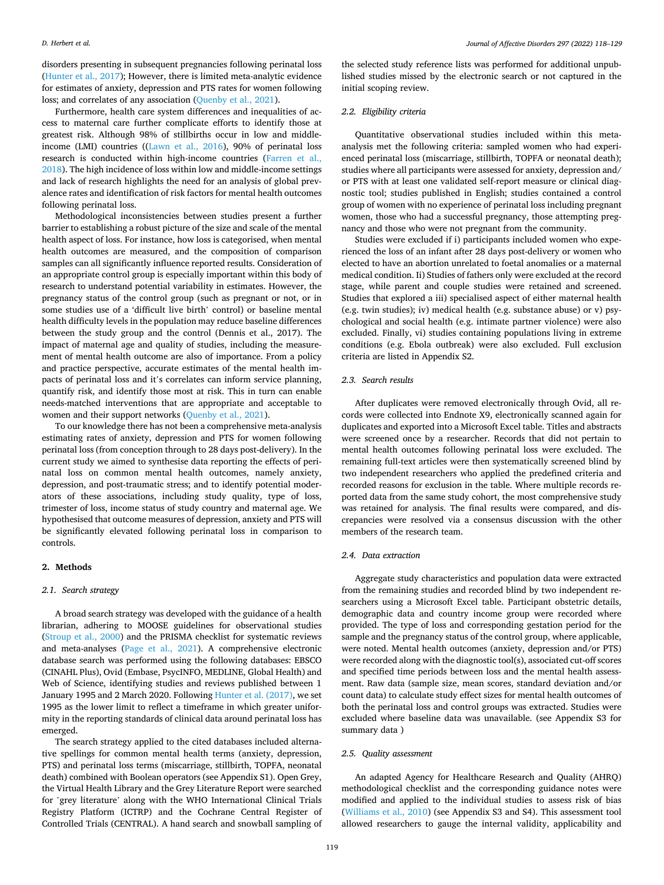disorders presenting in subsequent pregnancies following perinatal loss ([Hunter et al., 2017\)](#page-10-0); However, there is limited meta-analytic evidence for estimates of anxiety, depression and PTS rates for women following loss; and correlates of any association [\(Quenby et al., 2021](#page-10-0)).

Furthermore, health care system differences and inequalities of access to maternal care further complicate efforts to identify those at greatest risk. Although 98% of stillbirths occur in low and middleincome (LMI) countries (([Lawn et al., 2016](#page-10-0)), 90% of perinatal loss research is conducted within high-income countries ([Farren et al.,](#page-10-0)  [2018\)](#page-10-0). The high incidence of loss within low and middle-income settings and lack of research highlights the need for an analysis of global prevalence rates and identification of risk factors for mental health outcomes following perinatal loss.

Methodological inconsistencies between studies present a further barrier to establishing a robust picture of the size and scale of the mental health aspect of loss. For instance, how loss is categorised, when mental health outcomes are measured, and the composition of comparison samples can all significantly influence reported results. Consideration of an appropriate control group is especially important within this body of research to understand potential variability in estimates. However, the pregnancy status of the control group (such as pregnant or not, or in some studies use of a 'difficult live birth' control) or baseline mental health difficulty levels in the population may reduce baseline differences between the study group and the control (Dennis et al., 2017). The impact of maternal age and quality of studies, including the measurement of mental health outcome are also of importance. From a policy and practice perspective, accurate estimates of the mental health impacts of perinatal loss and it's correlates can inform service planning, quantify risk, and identify those most at risk. This in turn can enable needs-matched interventions that are appropriate and acceptable to women and their support networks [\(Quenby et al., 2021](#page-10-0)).

To our knowledge there has not been a comprehensive meta-analysis estimating rates of anxiety, depression and PTS for women following perinatal loss (from conception through to 28 days post-delivery). In the current study we aimed to synthesise data reporting the effects of perinatal loss on common mental health outcomes, namely anxiety, depression, and post-traumatic stress; and to identify potential moderators of these associations, including study quality, type of loss, trimester of loss, income status of study country and maternal age. We hypothesised that outcome measures of depression, anxiety and PTS will be significantly elevated following perinatal loss in comparison to controls.

# **2. Methods**

# *2.1. Search strategy*

A broad search strategy was developed with the guidance of a health librarian, adhering to MOOSE guidelines for observational studies ([Stroup et al., 2000\)](#page-10-0) and the PRISMA checklist for systematic reviews and meta-analyses ([Page et al., 2021](#page-10-0)). A comprehensive electronic database search was performed using the following databases: EBSCO (CINAHL Plus), Ovid (Embase, PsycINFO, MEDLINE, Global Health) and Web of Science, identifying studies and reviews published between 1 January 1995 and 2 March 2020. Following [Hunter et al. \(2017\),](#page-10-0) we set 1995 as the lower limit to reflect a timeframe in which greater uniformity in the reporting standards of clinical data around perinatal loss has emerged.

The search strategy applied to the cited databases included alternative spellings for common mental health terms (anxiety, depression, PTS) and perinatal loss terms (miscarriage, stillbirth, TOPFA, neonatal death) combined with Boolean operators (see Appendix S1). Open Grey, the Virtual Health Library and the Grey Literature Report were searched for 'grey literature' along with the WHO International Clinical Trials Registry Platform (ICTRP) and the Cochrane Central Register of Controlled Trials (CENTRAL). A hand search and snowball sampling of

the selected study reference lists was performed for additional unpublished studies missed by the electronic search or not captured in the initial scoping review.

#### *2.2. Eligibility criteria*

Quantitative observational studies included within this metaanalysis met the following criteria: sampled women who had experienced perinatal loss (miscarriage, stillbirth, TOPFA or neonatal death); studies where all participants were assessed for anxiety, depression and/ or PTS with at least one validated self-report measure or clinical diagnostic tool; studies published in English; studies contained a control group of women with no experience of perinatal loss including pregnant women, those who had a successful pregnancy, those attempting pregnancy and those who were not pregnant from the community.

Studies were excluded if i) participants included women who experienced the loss of an infant after 28 days post-delivery or women who elected to have an abortion unrelated to foetal anomalies or a maternal medical condition. Ii) Studies of fathers only were excluded at the record stage, while parent and couple studies were retained and screened. Studies that explored a iii) specialised aspect of either maternal health (e.g. twin studies); iv) medical health (e.g. substance abuse) or v) psychological and social health (e.g. intimate partner violence) were also excluded. Finally, vi) studies containing populations living in extreme conditions (e.g. Ebola outbreak) were also excluded. Full exclusion criteria are listed in Appendix S2.

#### *2.3. Search results*

After duplicates were removed electronically through Ovid, all records were collected into Endnote X9, electronically scanned again for duplicates and exported into a Microsoft Excel table. Titles and abstracts were screened once by a researcher. Records that did not pertain to mental health outcomes following perinatal loss were excluded. The remaining full-text articles were then systematically screened blind by two independent researchers who applied the predefined criteria and recorded reasons for exclusion in the table. Where multiple records reported data from the same study cohort, the most comprehensive study was retained for analysis. The final results were compared, and discrepancies were resolved via a consensus discussion with the other members of the research team.

# *2.4. Data extraction*

Aggregate study characteristics and population data were extracted from the remaining studies and recorded blind by two independent researchers using a Microsoft Excel table. Participant obstetric details, demographic data and country income group were recorded where provided. The type of loss and corresponding gestation period for the sample and the pregnancy status of the control group, where applicable, were noted. Mental health outcomes (anxiety, depression and/or PTS) were recorded along with the diagnostic tool(s), associated cut-off scores and specified time periods between loss and the mental health assessment. Raw data (sample size, mean scores, standard deviation and/or count data) to calculate study effect sizes for mental health outcomes of both the perinatal loss and control groups was extracted. Studies were excluded where baseline data was unavailable. (see Appendix S3 for summary data )

#### *2.5. Quality assessment*

An adapted Agency for Healthcare Research and Quality (AHRQ) methodological checklist and the corresponding guidance notes were modified and applied to the individual studies to assess risk of bias ([Williams et al., 2010\)](#page-10-0) (see Appendix S3 and S4). This assessment tool allowed researchers to gauge the internal validity, applicability and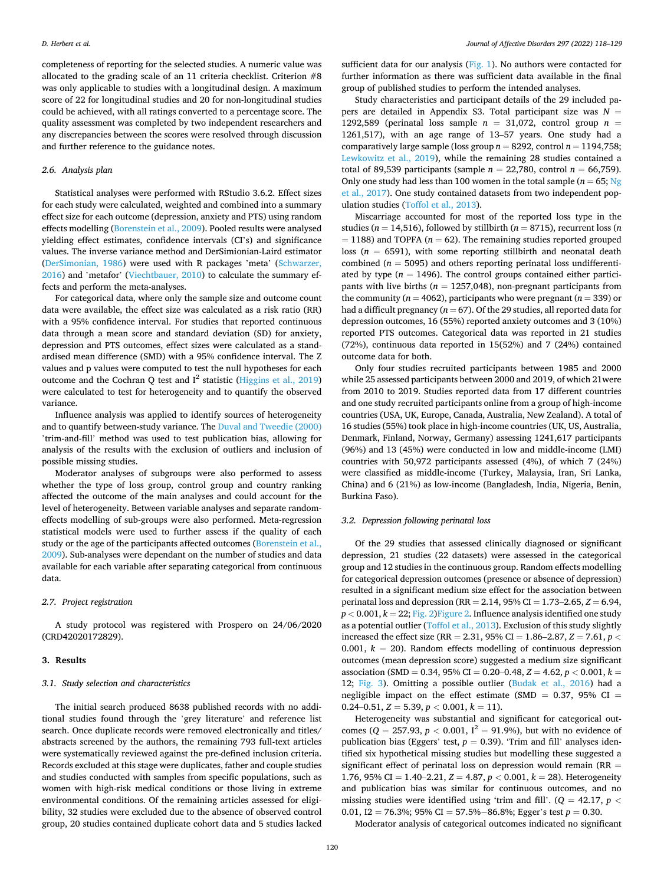completeness of reporting for the selected studies. A numeric value was allocated to the grading scale of an 11 criteria checklist. Criterion #8 was only applicable to studies with a longitudinal design. A maximum score of 22 for longitudinal studies and 20 for non-longitudinal studies could be achieved, with all ratings converted to a percentage score. The quality assessment was completed by two independent researchers and any discrepancies between the scores were resolved through discussion and further reference to the guidance notes.

#### *2.6. Analysis plan*

Statistical analyses were performed with RStudio 3.6.2. Effect sizes for each study were calculated, weighted and combined into a summary effect size for each outcome (depression, anxiety and PTS) using random effects modelling [\(Borenstein et al., 2009\)](#page-10-0). Pooled results were analysed yielding effect estimates, confidence intervals (CI's) and significance values. The inverse variance method and DerSimionian-Laird estimator ([DerSimonian, 1986](#page-10-0)) were used with R packages 'meta' ([Schwarzer,](#page-10-0)  [2016\)](#page-10-0) and 'metafor' [\(Viechtbauer, 2010\)](#page-10-0) to calculate the summary effects and perform the meta-analyses.

For categorical data, where only the sample size and outcome count data were available, the effect size was calculated as a risk ratio (RR) with a 95% confidence interval. For studies that reported continuous data through a mean score and standard deviation (SD) for anxiety, depression and PTS outcomes, effect sizes were calculated as a standardised mean difference (SMD) with a 95% confidence interval. The Z values and p values were computed to test the null hypotheses for each outcome and the Cochran Q test and  $I^2$  statistic ([Higgins et al., 2019\)](#page-10-0) were calculated to test for heterogeneity and to quantify the observed variance.

Influence analysis was applied to identify sources of heterogeneity and to quantify between-study variance. The [Duval and Tweedie \(2000\)](#page-10-0)  'trim-and-fill' method was used to test publication bias, allowing for analysis of the results with the exclusion of outliers and inclusion of possible missing studies.

Moderator analyses of subgroups were also performed to assess whether the type of loss group, control group and country ranking affected the outcome of the main analyses and could account for the level of heterogeneity. Between variable analyses and separate randomeffects modelling of sub-groups were also performed. Meta-regression statistical models were used to further assess if the quality of each study or the age of the participants affected outcomes ([Borenstein et al.,](#page-10-0)  [2009\)](#page-10-0). Sub-analyses were dependant on the number of studies and data available for each variable after separating categorical from continuous data.

# *2.7. Project registration*

A study protocol was registered with Prospero on 24/06/2020 (CRD42020172829).

# **3. Results**

# *3.1. Study selection and characteristics*

The initial search produced 8638 published records with no additional studies found through the 'grey literature' and reference list search. Once duplicate records were removed electronically and titles/ abstracts screened by the authors, the remaining 793 full-text articles were systematically reviewed against the pre-defined inclusion criteria. Records excluded at this stage were duplicates, father and couple studies and studies conducted with samples from specific populations, such as women with high-risk medical conditions or those living in extreme environmental conditions. Of the remaining articles assessed for eligibility, 32 studies were excluded due to the absence of observed control group, 20 studies contained duplicate cohort data and 5 studies lacked

sufficient data for our analysis ([Fig. 1](#page-3-0)). No authors were contacted for further information as there was sufficient data available in the final group of published studies to perform the intended analyses.

Study characteristics and participant details of the 29 included papers are detailed in Appendix S3. Total participant size was  $N =$ 1292,589 (perinatal loss sample  $n = 31,072$ , control group  $n =$ 1261,517), with an age range of 13–57 years. One study had a comparatively large sample (loss group  $n = 8292$ , control  $n = 1194,758$ ; [Lewkowitz et al., 2019](#page-10-0)), while the remaining 28 studies contained a total of 89,539 participants (sample  $n = 22,780$ , control  $n = 66,759$ ). Only one study had less than 100 women in the total sample ( $n = 65$ ; Ng [et al., 2017\)](#page-10-0). One study contained datasets from two independent population studies ([Toffol et al., 2013](#page-10-0)).

Miscarriage accounted for most of the reported loss type in the studies (*n* = 14,516), followed by stillbirth (*n* = 8715), recurrent loss (*n*   $= 1188$ ) and TOPFA ( $n = 62$ ). The remaining studies reported grouped loss  $(n = 6591)$ , with some reporting stillbirth and neonatal death combined ( $n = 5095$ ) and others reporting perinatal loss undifferentiated by type ( $n = 1496$ ). The control groups contained either participants with live births ( $n = 1257,048$ ), non-pregnant participants from the community ( $n = 4062$ ), participants who were pregnant ( $n = 339$ ) or had a difficult pregnancy ( $n = 67$ ). Of the 29 studies, all reported data for depression outcomes, 16 (55%) reported anxiety outcomes and 3 (10%) reported PTS outcomes. Categorical data was reported in 21 studies (72%), continuous data reported in 15(52%) and 7 (24%) contained outcome data for both.

Only four studies recruited participants between 1985 and 2000 while 25 assessed participants between 2000 and 2019, of which 21were from 2010 to 2019. Studies reported data from 17 different countries and one study recruited participants online from a group of high-income countries (USA, UK, Europe, Canada, Australia, New Zealand). A total of 16 studies (55%) took place in high-income countries (UK, US, Australia, Denmark, Finland, Norway, Germany) assessing 1241,617 participants (96%) and 13 (45%) were conducted in low and middle-income (LMI) countries with 50,972 participants assessed (4%), of which 7 (24%) were classified as middle-income (Turkey, Malaysia, Iran, Sri Lanka, China) and 6 (21%) as low-income (Bangladesh, India, Nigeria, Benin, Burkina Faso).

## *3.2. Depression following perinatal loss*

Of the 29 studies that assessed clinically diagnosed or significant depression, 21 studies (22 datasets) were assessed in the categorical group and 12 studies in the continuous group. Random effects modelling for categorical depression outcomes (presence or absence of depression) resulted in a significant medium size effect for the association between perinatal loss and depression (RR = 2.14, 95% CI = 1.73–2.65, *Z* = 6.94,  $p < 0.001$ ,  $k = 22$ ; Fig. 2) Figure 2. Influence analysis identified one study as a potential outlier ([Toffol et al., 2013\)](#page-10-0). Exclusion of this study slightly increased the effect size (RR = 2.31, 95% CI = 1.86–2.87,  $Z = 7.61$ ,  $p <$ 0.001,  $k = 20$ ). Random effects modelling of continuous depression outcomes (mean depression score) suggested a medium size significant association (SMD = 0.34, 95% CI = 0.20–0.48, *Z* = 4.62, *p <* 0.001, *k* = 12; [Fig. 3\)](#page-4-0). Omitting a possible outlier [\(Budak et al., 2016](#page-10-0)) had a negligible impact on the effect estimate (SMD =  $0.37$ , 95% CI =  $0.24 - 0.51$ ,  $Z = 5.39$ ,  $p < 0.001$ ,  $k = 11$ ).

Heterogeneity was substantial and significant for categorical outcomes ( $Q = 257.93$ ,  $p < 0.001$ ,  $I^2 = 91.9$ %), but with no evidence of publication bias (Eggers' test,  $p = 0.39$ ). 'Trim and fill' analyses identified six hypothetical missing studies but modelling these suggested a significant effect of perinatal loss on depression would remain (RR = 1.76, 95% CI = 1.40–2.21, *Z* = 4.87, *p <* 0.001, *k* = 28). Heterogeneity and publication bias was similar for continuous outcomes, and no missing studies were identified using 'trim and fill'. ( $Q = 42.17$ ,  $p <$ 0.01,  $I2 = 76.3\%$ ;  $95\%$  CI = 57.5%–86.8%; Egger's test  $p = 0.30$ .

Moderator analysis of categorical outcomes indicated no significant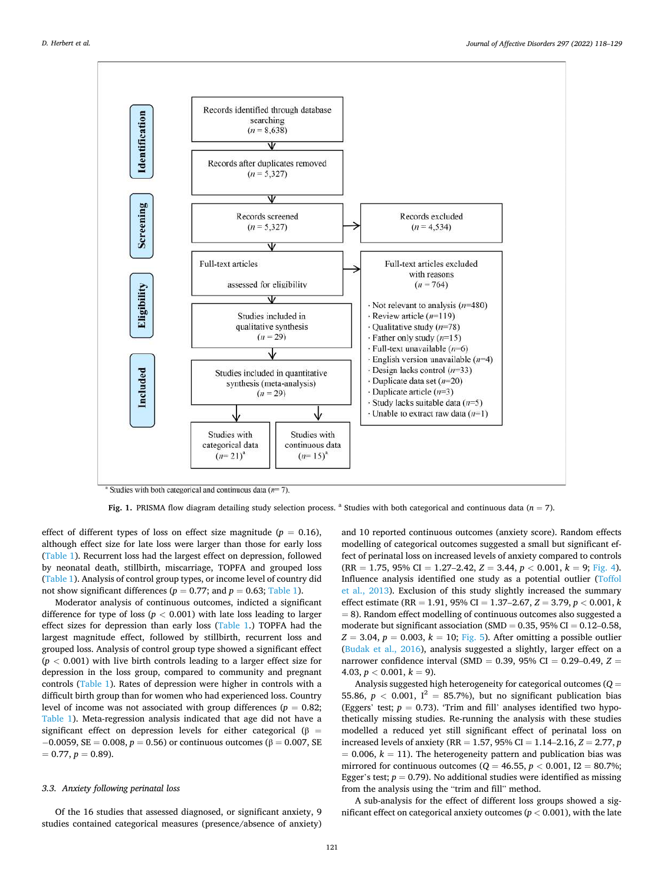<span id="page-3-0"></span>

Fig. 1. PRISMA flow diagram detailing study selection process. <sup>a</sup> Studies with both categorical and continuous data (*n* = 7).

effect of different types of loss on effect size magnitude ( $p = 0.16$ ), although effect size for late loss were larger than those for early loss ([Table 1](#page-5-0)). Recurrent loss had the largest effect on depression, followed by neonatal death, stillbirth, miscarriage, TOPFA and grouped loss ([Table 1](#page-5-0)). Analysis of control group types, or income level of country did not show significant differences ( $p = 0.77$ ; and  $p = 0.63$ ; [Table 1](#page-5-0)).

Moderator analysis of continuous outcomes, indicted a significant difference for type of loss  $(p < 0.001)$  with late loss leading to larger effect sizes for depression than early loss ([Table 1](#page-5-0).) TOPFA had the largest magnitude effect, followed by stillbirth, recurrent loss and grouped loss. Analysis of control group type showed a significant effect  $(p < 0.001)$  with live birth controls leading to a larger effect size for depression in the loss group, compared to community and pregnant controls ([Table 1\)](#page-5-0). Rates of depression were higher in controls with a difficult birth group than for women who had experienced loss. Country level of income was not associated with group differences ( $p = 0.82$ ; [Table 1](#page-5-0)). Meta-regression analysis indicated that age did not have a significant effect on depression levels for either categorical ( $\beta$  =  $-0.0059$ , SE = 0.008, *p* = 0.56) or continuous outcomes (β = 0.007, SE  $= 0.77, p = 0.89$ .

#### *3.3. Anxiety following perinatal loss*

Of the 16 studies that assessed diagnosed, or significant anxiety, 9 studies contained categorical measures (presence/absence of anxiety) and 10 reported continuous outcomes (anxiety score). Random effects modelling of categorical outcomes suggested a small but significant effect of perinatal loss on increased levels of anxiety compared to controls  $(RR = 1.75, 95\% \text{ CI} = 1.27 - 2.42, Z = 3.44, p < 0.001, k = 9; Fig. 4).$  $(RR = 1.75, 95\% \text{ CI} = 1.27 - 2.42, Z = 3.44, p < 0.001, k = 9; Fig. 4).$  $(RR = 1.75, 95\% \text{ CI} = 1.27 - 2.42, Z = 3.44, p < 0.001, k = 9; Fig. 4).$ Influence analysis identified one study as a potential outlier ([Toffol](#page-10-0)  [et al., 2013\)](#page-10-0). Exclusion of this study slightly increased the summary effect estimate (RR = 1.91, 95% CI = 1.37–2.67, *Z* = 3.79, *p <* 0.001, *k*   $= 8$ ). Random effect modelling of continuous outcomes also suggested a moderate but significant association (SMD =  $0.35$ , 95% CI =  $0.12$ –0.58,  $Z = 3.04$ ,  $p = 0.003$ ,  $k = 10$ ; [Fig. 5\)](#page-5-0). After omitting a possible outlier ([Budak et al., 2016](#page-10-0)), analysis suggested a slightly, larger effect on a narrower confidence interval (SMD = 0.39, 95% CI = 0.29–0.49, *Z* =  $4.03, p < 0.001, k = 9$ .

Analysis suggested high heterogeneity for categorical outcomes (*Q* = 55.86,  $p < 0.001$ ,  $I^2 = 85.7\%$ ), but no significant publication bias (Eggers' test;  $p = 0.73$ ). 'Trim and fill' analyses identified two hypothetically missing studies. Re-running the analysis with these studies modelled a reduced yet still significant effect of perinatal loss on increased levels of anxiety (RR = 1.57, 95% CI = 1.14–2.16,  $Z = 2.77$ , *p*  $= 0.006$ ,  $k = 11$ ). The heterogeneity pattern and publication bias was mirrored for continuous outcomes ( $Q = 46.55$ ,  $p < 0.001$ ,  $I2 = 80.7$ %; Egger's test;  $p = 0.79$ ). No additional studies were identified as missing from the analysis using the "trim and fill" method.

A sub-analysis for the effect of different loss groups showed a significant effect on categorical anxiety outcomes ( $p < 0.001$ ), with the late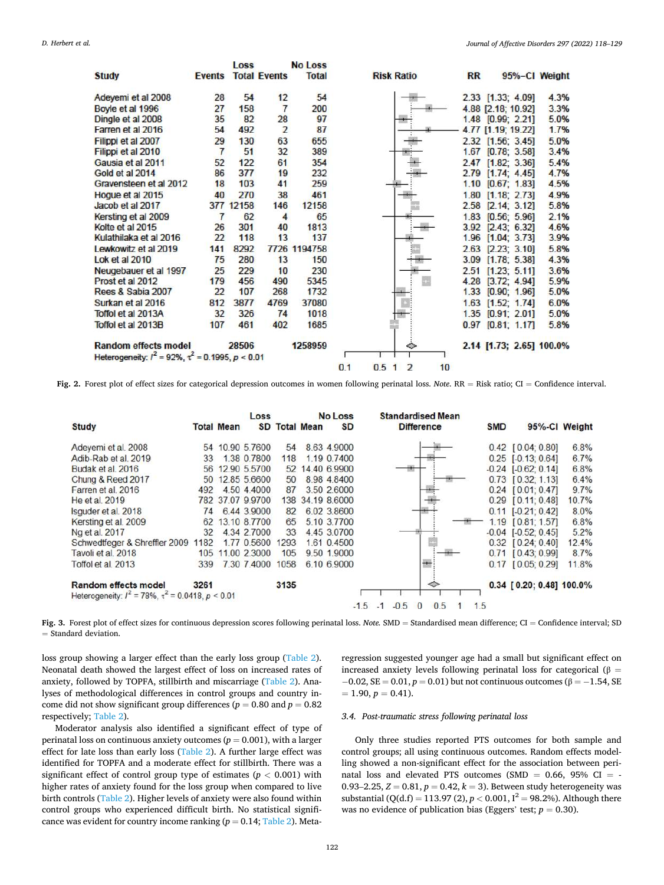<span id="page-4-0"></span>

|                                                              |                | Loss      |                     | No Loss      |            |                                           |    |           |                       |                          |
|--------------------------------------------------------------|----------------|-----------|---------------------|--------------|------------|-------------------------------------------|----|-----------|-----------------------|--------------------------|
| <b>Study</b>                                                 | <b>Events</b>  |           | <b>Total Events</b> | <b>Total</b> |            | <b>Risk Ratio</b>                         |    | <b>RR</b> |                       | 95%-Cl Weight            |
| Adeyemi et al 2008                                           | 28             | 54        | 12                  | 54           |            |                                           |    |           | 2.33 [1.33; 4.09]     | 4.3%                     |
| Boyle et al 1996                                             | 27             | 158       | $\overline{7}$      | 200          |            |                                           |    |           | 4.88 [2.18; 10.92]    | 3.3%                     |
| Dingle et al 2008                                            | 35             | 82        | 28                  | 97           |            |                                           |    |           | 1.48 [0.99; 2.21]     | 5.0%                     |
| Farren et al 2016                                            | 54             | 492       | $\overline{2}$      | 87           |            |                                           |    |           | 4.77 [1.19; 19.22]    | 1.7%                     |
| Filippi et al 2007                                           | 29             | 130       | 63                  | 655          |            |                                           |    |           | 2.32 [1.56; 3.45]     | 5.0%                     |
| Filippi et al 2010                                           | $\overline{7}$ | 51        | 32                  | 389          |            |                                           |    |           | 1.67 [0.78; 3.58]     | 3.4%                     |
| Gausia et al 2011                                            | 52             | 122       | 61                  | 354          |            |                                           |    |           | 2.47 [1.82; 3.36]     | 5.4%                     |
| Gold et al 2014                                              | 86             | 377       | 19                  | 232          |            |                                           |    |           | 2.79 [1.74; 4.45]     | 4.7%                     |
| Gravensteen et al 2012                                       | 18             | 103       | 41                  | 259          |            |                                           |    |           | 1.10 [0.67; 1.83]     | 4.5%                     |
| Hoque et al 2015                                             | 40             | 270       | 38                  | 461          |            |                                           |    | 1.80      | [1.18: 2.73]          | 4.9%                     |
| Jacob et al 2017                                             |                | 377 12158 | 146                 | 12158        |            |                                           |    |           | 2.58 [2.14; 3.12]     | 5.8%                     |
| Kersting et al 2009                                          | $\overline{7}$ | 62        | 4                   | 65           |            |                                           |    |           | 1.83 [0.56; 5.96]     | 2.1%                     |
| Kolte et al 2015                                             | 26             | 301       | 40                  | 1813         |            |                                           |    |           | 3.92 [2.43; 6.32]     | 4.6%                     |
| Kulathilaka et al 2016                                       | 22             | 118       | 13                  | 137          |            |                                           |    |           | $1.96$ [1.04; 3.73]   | 3.9%                     |
| Lewkowitz et al 2019                                         | 141            | 8292      |                     | 7726 1194758 |            |                                           |    |           | 2.63 [2.23; 3.10]     | 5.8%                     |
| Lok et al 2010                                               | 75             | 280       | 13                  | 150          |            |                                           |    |           | 3.09 [1.78; 5.38]     | 4.3%                     |
| Neugebauer et al 1997                                        | 25             | 229       | 10                  | 230          |            |                                           |    |           | 2.51 [1.23: 5.11]     | 3.6%                     |
| Prost et al 2012                                             | 179            | 456       | 490                 | 5345         |            | m                                         |    |           | 4.28 [3.72; 4.94]     | 5.9%                     |
| Rees & Sabia 2007                                            | 22             | 107       | 268                 | 1732         |            |                                           |    |           | $1.33$ $[0.90; 1.96]$ | 5.0%                     |
| Surkan et al 2016                                            | 812            | 3877      | 4769                | 37080        |            |                                           |    |           | $1.63$ [1.52; 1.74]   | 6.0%                     |
| Toffol et al 2013A                                           | 32             | 326       | 74                  | 1018         |            |                                           |    |           | 1.35 [0.91; 2.01]     | 5.0%                     |
| Toffol et al 2013B                                           | 107            | 461       | 402                 | 1685         |            |                                           |    |           | $0.97$ $[0.81; 1.17]$ | 5.8%                     |
| <b>Random effects model</b>                                  |                | 28506     |                     | 1258959      |            | ٠                                         |    |           |                       | 2.14 [1.73; 2.65] 100.0% |
| Heterogeneity: $l^2 = 92\%$ , $\tau^2 = 0.1995$ , $p < 0.01$ |                |           |                     |              |            |                                           |    |           |                       |                          |
|                                                              |                |           |                     |              | 0.1<br>0.5 | $\overline{\mathbf{c}}$<br>$\blacksquare$ | 10 |           |                       |                          |

**Fig. 2.** Forest plot of effect sizes for categorical depression outcomes in women following perinatal loss. *Note*. RR = Risk ratio; CI = Confidence interval.

|                                       |                 | Loss                                                         |                                                                                                                                                                                                  |             | SD                                              |                                                                                                                                                                                                      | <b>Difference</b> | <b>SMD</b>                                                      |    | 95%-Cl Weight                                                                                                                                                                                                                                                                                                                             |
|---------------------------------------|-----------------|--------------------------------------------------------------|--------------------------------------------------------------------------------------------------------------------------------------------------------------------------------------------------|-------------|-------------------------------------------------|------------------------------------------------------------------------------------------------------------------------------------------------------------------------------------------------------|-------------------|-----------------------------------------------------------------|----|-------------------------------------------------------------------------------------------------------------------------------------------------------------------------------------------------------------------------------------------------------------------------------------------------------------------------------------------|
|                                       |                 |                                                              |                                                                                                                                                                                                  |             |                                                 |                                                                                                                                                                                                      |                   |                                                                 |    | 6.8%                                                                                                                                                                                                                                                                                                                                      |
| 33                                    |                 |                                                              |                                                                                                                                                                                                  |             |                                                 |                                                                                                                                                                                                      |                   |                                                                 |    | 6.7%                                                                                                                                                                                                                                                                                                                                      |
|                                       |                 |                                                              |                                                                                                                                                                                                  |             |                                                 |                                                                                                                                                                                                      |                   |                                                                 |    | 6.8%                                                                                                                                                                                                                                                                                                                                      |
|                                       |                 |                                                              | 50                                                                                                                                                                                               |             |                                                 |                                                                                                                                                                                                      |                   |                                                                 |    | 6.4%                                                                                                                                                                                                                                                                                                                                      |
|                                       |                 |                                                              | 87                                                                                                                                                                                               |             |                                                 |                                                                                                                                                                                                      |                   |                                                                 |    | 9.7%                                                                                                                                                                                                                                                                                                                                      |
|                                       |                 |                                                              | 138                                                                                                                                                                                              |             |                                                 |                                                                                                                                                                                                      |                   |                                                                 |    | 10.7%                                                                                                                                                                                                                                                                                                                                     |
| 74                                    |                 |                                                              | 82                                                                                                                                                                                               |             |                                                 |                                                                                                                                                                                                      |                   |                                                                 |    | 8.0%                                                                                                                                                                                                                                                                                                                                      |
| 62                                    |                 |                                                              | 65                                                                                                                                                                                               |             |                                                 |                                                                                                                                                                                                      |                   |                                                                 |    | 6.8%                                                                                                                                                                                                                                                                                                                                      |
| 32                                    |                 |                                                              | 33                                                                                                                                                                                               |             |                                                 |                                                                                                                                                                                                      |                   |                                                                 |    | 5.2%                                                                                                                                                                                                                                                                                                                                      |
| Schwedtfeger & Shreffler 2009<br>1182 |                 |                                                              | 1293                                                                                                                                                                                             |             |                                                 |                                                                                                                                                                                                      |                   |                                                                 |    | 12.4%                                                                                                                                                                                                                                                                                                                                     |
| 105                                   |                 |                                                              | 105                                                                                                                                                                                              |             |                                                 |                                                                                                                                                                                                      |                   |                                                                 |    | 8.7%                                                                                                                                                                                                                                                                                                                                      |
| 339                                   |                 |                                                              | 1058                                                                                                                                                                                             |             |                                                 |                                                                                                                                                                                                      |                   |                                                                 |    | 11.8%                                                                                                                                                                                                                                                                                                                                     |
| 3261                                  |                 |                                                              |                                                                                                                                                                                                  |             |                                                 |                                                                                                                                                                                                      | ⇔                 |                                                                 |    |                                                                                                                                                                                                                                                                                                                                           |
|                                       | 56<br>50<br>492 | Heterogeneity: $I^2 = 78\%$ , $\tau^2 = 0.0418$ , $p < 0.01$ | <b>Total Mean</b><br>54 10.90 5.7600<br>1.38 0.7800<br>12.90 5.5700<br>12.85 5.6600<br>4.50 4.4000<br>782 37.07 9.9700<br>644 39000<br>13.10 8.7700<br>4.34 2.7000<br>177 0 5600<br>11.00 2.3000 | 7.30 7.4000 | <b>SD Total Mean</b><br>54<br>118<br>52<br>3135 | <b>No Loss</b><br>8.63 4.9000<br>1.19 0.7400<br>14.40 6.9900<br>8.98 4.8400<br>3.50 2.6000<br>34.19 8.6000<br>6.02 3.8600<br>5.10 3.7700<br>4.45 3.0700<br>1.61 0.4500<br>9.50 1.9000<br>6.10 6.9000 |                   | <b>Standardised Mean</b><br>0.5<br>$-15 - 1 - 05$<br>$^{\circ}$ | 15 | $0.42$ [ $0.04$ ; $0.80$ ]<br>$0.25$ [-0.13; 0.64]<br>$-0.24$ $[-0.62; 0.14]$<br>$0.73$ $[0.32; 1.13]$<br>$0.24$ $[0.01; 0.47]$<br>$0.29$ $[0.11; 0.48]$<br>$0.11$ $[-0.21; 0.42]$<br>1.19 [0.81; 1.57]<br>$-0.04$ $[-0.52; 0.45]$<br>$0.32$ $[0.24; 0.40]$<br>$0.71$ $[0.43; 0.99]$<br>$0.17$ $[0.05; 0.29]$<br>0.34 [0.20; 0.48] 100.0% |

**Fig. 3.** Forest plot of effect sizes for continuous depression scores following perinatal loss. *Note.* SMD = Standardised mean difference; CI = Confidence interval; SD  $=$  Standard deviation.

loss group showing a larger effect than the early loss group ([Table 2](#page-6-0)). Neonatal death showed the largest effect of loss on increased rates of anxiety, followed by TOPFA, stillbirth and miscarriage ([Table 2](#page-6-0)). Analyses of methodological differences in control groups and country income did not show significant group differences ( $p = 0.80$  and  $p = 0.82$ ) respectively; [Table 2\)](#page-6-0).

Moderator analysis also identified a significant effect of type of perinatal loss on continuous anxiety outcomes  $(p = 0.001)$ , with a larger effect for late loss than early loss [\(Table 2](#page-6-0)). A further large effect was identified for TOPFA and a moderate effect for stillbirth. There was a significant effect of control group type of estimates ( $p < 0.001$ ) with higher rates of anxiety found for the loss group when compared to live birth controls [\(Table 2](#page-6-0)). Higher levels of anxiety were also found within control groups who experienced difficult birth. No statistical significance was evident for country income ranking  $(p = 0.14;$  [Table 2](#page-6-0)). Metaregression suggested younger age had a small but significant effect on increased anxiety levels following perinatal loss for categorical ( $\beta$  =  $-0.02$ ,  $SE = 0.01$ ,  $p = 0.01$ ) but not continuous outcomes ( $\beta = -1.54$ , SE  $= 1.90, p = 0.41.$ 

# *3.4. Post-traumatic stress following perinatal loss*

Only three studies reported PTS outcomes for both sample and control groups; all using continuous outcomes. Random effects modelling showed a non-significant effect for the association between perinatal loss and elevated PTS outcomes (SMD  $=$  0.66, 95% CI  $=$  -0.93–2.25,  $Z = 0.81, p = 0.42, k = 3$ ). Between study heterogeneity was substantial (Q(d.f) = 113.97 (2),  $p < 0.001$ ,  $I^2 = 98.2$ %). Although there was no evidence of publication bias (Eggers' test;  $p = 0.30$ ).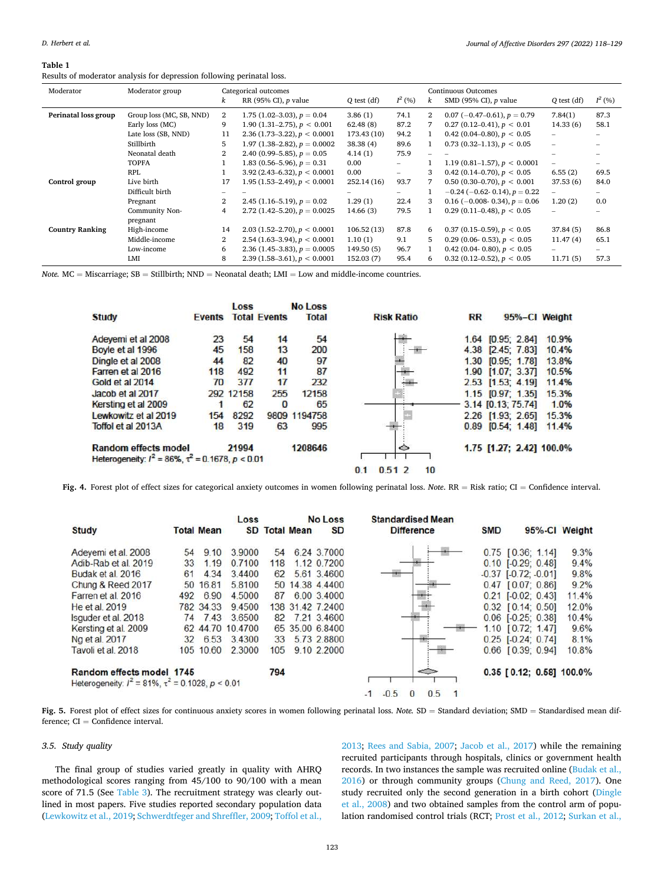#### <span id="page-5-0"></span>**Table 1**

Results of moderator analysis for depression following perinatal loss.

| Moderator              | Moderator group          |                | Categorical outcomes<br>Continuous Outcomes |             |                          |                |                                   |                          |                          |  |  |
|------------------------|--------------------------|----------------|---------------------------------------------|-------------|--------------------------|----------------|-----------------------------------|--------------------------|--------------------------|--|--|
|                        |                          | k              | RR (95% CI), $p$ value                      | Q test (df) | $I^2$ (%)                | k              | SMD (95% CI), $p$ value           | $Q$ test $(df)$          | $I^2$ (%)                |  |  |
| Perinatal loss group   | Group loss (MC, SB, NND) | 2              | 1.75 $(1.02-3.03)$ , $p = 0.04$             | 3.86(1)     | 74.1                     | $\overline{2}$ | $0.07$ (-0.47-0.61), $p = 0.79$   | 7.84(1)                  | 87.3                     |  |  |
|                        | Early loss (MC)          | 9              | 1.90 (1.31–2.75), $p < 0.001$               | 62.48(8)    | 87.2                     | 7              | $0.27(0.12-0.41), p < 0.01$       | 14.33(6)                 | 58.1                     |  |  |
|                        | Late loss (SB, NND)      | 11             | $2.36(1.73-3.22), p < 0.0001$               | 173.43 (10) | 94.2                     |                | 0.42 (0.04–0.80), $p < 0.05$      | $\overline{\phantom{0}}$ |                          |  |  |
|                        | Stillbirth               | 5              | 1.97 $(1.38-2.82)$ , $p = 0.0002$           | 38.38(4)    | 89.6                     |                | $0.73$ (0.32–1.13), $p < 0.05$    | $\overline{\phantom{0}}$ |                          |  |  |
|                        | Neonatal death           | $\overline{2}$ | 2.40 (0.99–5.85), $p = 0.05$                | 4.14(1)     | 75.9                     |                |                                   |                          |                          |  |  |
|                        | <b>TOPFA</b>             |                | 1.83 (0.56–5.96), $p = 0.31$                | 0.00        | $\overline{\phantom{0}}$ |                | 1.19 (0.81–1.57), $p < 0.0001$    | $\overline{\phantom{0}}$ |                          |  |  |
|                        | <b>RPL</b>               |                | $3.92(2.43-6.32), p < 0.0001$               | 0.00        | -                        | 3              | 0.42 (0.14–0.70), $p < 0.05$      | 6.55(2)                  | 69.5                     |  |  |
| Control group          | Live birth               | 17             | 1.95 (1.53–2.49), $p < 0.0001$              | 252.14(16)  | 93.7                     | 7              | 0.50 (0.30–0.70), $p < 0.001$     | 37.53(6)                 | 84.0                     |  |  |
|                        | Difficult birth          |                |                                             |             | Ξ.                       |                | $-0.24$ (-0.62-0.14), $p = 0.22$  | $\overline{\phantom{0}}$ | $\overline{\phantom{0}}$ |  |  |
|                        | Pregnant                 | $\overline{2}$ | 2.45 $(1.16-5.19)$ , $p = 0.02$             | 1.29(1)     | 22.4                     | 3              | $0.16$ (-0.008- 0.34), $p = 0.06$ | 1.20(2)                  | 0.0                      |  |  |
|                        | Community Non-           | 4              | 2.72 (1.42–5.20), $p = 0.0025$              | 14.66(3)    | 79.5                     |                | $0.29$ (0.11–0.48), $p < 0.05$    | $\overline{\phantom{a}}$ |                          |  |  |
|                        | pregnant                 |                |                                             |             |                          |                |                                   |                          |                          |  |  |
| <b>Country Ranking</b> | High-income              | 14             | $2.03(1.52-2.70), p < 0.0001$               | 106.52(13)  | 87.8                     | 6              | $0.37$ (0.15–0.59), $p < 0.05$    | 37.84(5)                 | 86.8                     |  |  |
|                        | Middle-income            | 2              | 2.54 (1.63–3.94), $p < 0.0001$              | 1.10(1)     | 9.1                      | 5              | 0.29 (0.06- 0.53), $p < 0.05$     | 11.47(4)                 | 65.1                     |  |  |
|                        | Low-income               | 6              | 2.36 (1.45–3.83), $p = 0.0005$              | 149.50(5)   | 96.7                     |                | 0.42 (0.04- 0.80), $p < 0.05$     |                          |                          |  |  |
|                        | LMI                      | 8              | $2.39(1.58-3.61), p < 0.0001$               | 152.03(7)   | 95.4                     | 6.             | $0.32(0.12-0.52), p < 0.05$       | 11.71(5)                 | 57.3                     |  |  |

*Note.* MC = Miscarriage; SB = Stillbirth; NND = Neonatal death; LMI = Low and middle-income countries.

|                                                                                             |               | Loss      |                     | <b>No Loss</b> |                    |           |                          |       |
|---------------------------------------------------------------------------------------------|---------------|-----------|---------------------|----------------|--------------------|-----------|--------------------------|-------|
| <b>Study</b>                                                                                | <b>Events</b> |           | <b>Total Events</b> | <b>Total</b>   | <b>Risk Ratio</b>  | <b>RR</b> | 95%-Cl Weight            |       |
| Adevemi et al 2008                                                                          | 23            | 54        | 14                  | 54             |                    |           | 1.64 [0.95; 2.84]        | 10.9% |
| Boyle et al 1996                                                                            | 45            | 158       | 13                  | 200            |                    |           | 4.38 [2.45; 7.83]        | 10.4% |
| Dingle et al 2008                                                                           | 44            | 82        | 40                  | 97             |                    |           | 1.30 [0.95: 1.78]        | 13.8% |
| Farren et al 2016                                                                           | 118           | 492       | 11                  | 87             |                    |           | 1.90 [1.07; 3.37]        | 10.5% |
| Gold et al 2014                                                                             | 70            | 377       | 17                  | 232            |                    |           | 2.53 [1.53; 4.19]        | 11.4% |
| Jacob et al 2017                                                                            |               | 292 12158 | 255                 | 12158          |                    |           | $1.15$ $[0.97; 1.35]$    | 15.3% |
| Kersting et al 2009                                                                         |               | 62        | $\bf{0}$            | 65             |                    |           | 3.14 [0.13; 75.74]       | 1.0%  |
| Lewkowitz et al 2019                                                                        | 154           | 8292      |                     | 9809 1194758   |                    |           | 2.26 [1.93; 2.65]        | 15.3% |
| Toffol et al 2013A                                                                          | 18            | 319       | 63                  | 995            |                    |           | $0.89$ $[0.54; 1.48]$    | 11.4% |
| <b>Random effects model</b><br>Heterogeneity: $l^2 = 86\%$ , $\tau^2 = 0.1678$ , $p < 0.01$ |               | 21994     |                     | 1208646        | ◇                  |           | 1.75 [1.27; 2.42] 100.0% |       |
|                                                                                             |               |           |                     |                | 10<br>0.512<br>0.1 |           |                          |       |

**Fig. 4.** Forest plot of effect sizes for categorical anxiety outcomes in women following perinatal loss. *Note*. RR = Risk ratio; CI = Confidence interval.

| <b>Study</b>                                                                                                                                                                                                         |                                               | <b>Total Mean</b>                                                               | Loss                                                                                                    |                                                | <b>SD Total Mean</b> | <b>No Loss</b><br><b>SD</b>                                                                                                                                  | <b>Standardised Mean</b><br><b>Difference</b> |               | <b>SMD</b> | 95%-Cl Weight                                                                                                                                                                                                                                                   |                                                                                  |
|----------------------------------------------------------------------------------------------------------------------------------------------------------------------------------------------------------------------|-----------------------------------------------|---------------------------------------------------------------------------------|---------------------------------------------------------------------------------------------------------|------------------------------------------------|----------------------|--------------------------------------------------------------------------------------------------------------------------------------------------------------|-----------------------------------------------|---------------|------------|-----------------------------------------------------------------------------------------------------------------------------------------------------------------------------------------------------------------------------------------------------------------|----------------------------------------------------------------------------------|
| Adevemi et al. 2008<br>Adib-Rab et al. 2019<br>Budak et al. 2016<br>Chung & Reed 2017<br>Farren et al. 2016<br>He et al. 2019<br>Isquder et al. 2018<br>Kersting et al. 2009<br>No et al. 2017<br>Tavoli et al. 2018 | 54<br>33<br>61<br>50<br>492<br>74<br>62<br>32 | 9.10<br>1.19<br>4.34<br>16.81<br>6.90<br>782 34 33<br>7.43<br>6.53<br>105 10.60 | 3.9000<br>0.7100<br>3.4400<br>5.8100<br>4,5000<br>9.4500<br>3.6500<br>44.70 10.4700<br>3.4300<br>2,3000 | 54<br>118<br>62<br>50<br>87<br>82<br>33<br>105 |                      | 6.24 3.7000<br>1.12 0.7200<br>5.61 3.4600<br>14.38 4.4400<br>6.00 3.4000<br>138 31 42 7 2400<br>7.21 3.4600<br>65 35 00 6.8400<br>5.73 2.8800<br>9.10 2.2000 |                                               |               |            | $0.75$ $[0.36; 1.14]$<br>$0.10$ $[-0.29; 0.48]$<br>$-0.37$ $[-0.72; -0.01]$<br>$0.47$ $[0.07; 0.86]$<br>$0.21$ $[-0.02; 0.43]$<br>$0.32$ $[0.14; 0.50]$<br>$0.06$ $[-0.25; 0.38]$<br>$1.10$ $[0.72; 1.47]$<br>$0.25$ [ $-0.24$ ; 0.74]<br>$0.66$ $[0.39; 0.94]$ | 9.3%<br>9.4%<br>9.8%<br>9.2%<br>11.4%<br>12.0%<br>10.4%<br>9.6%<br>8.1%<br>10.8% |
| Random effects model 1745<br>Heterogeneity: $I^2 = 81\%$ , $\tau^2 = 0.1028$ , $p < 0.01$                                                                                                                            |                                               |                                                                                 |                                                                                                         | 794                                            |                      |                                                                                                                                                              | $-0.5$<br>$-1$                                | $\iff$<br>0.5 |            | $0.35$ [0.12; 0.58] 100.0%                                                                                                                                                                                                                                      |                                                                                  |

**Fig. 5.** Forest plot of effect sizes for continuous anxiety scores in women following perinatal loss. *Note.* SD = Standard deviation; SMD = Standardised mean difference;  $CI =$  Confidence interval.

## *3.5. Study quality*

The final group of studies varied greatly in quality with AHRQ methodological scores ranging from 45/100 to 90/100 with a mean score of 71.5 (See [Table 3\)](#page-7-0). The recruitment strategy was clearly outlined in most papers. Five studies reported secondary population data ([Lewkowitz et al., 2019](#page-10-0); [Schwerdtfeger and Shreffler, 2009; Toffol et al.,](#page-10-0) 

[2013;](#page-10-0) [Rees and Sabia, 2007;](#page-10-0) [Jacob et al., 2017\)](#page-10-0) while the remaining recruited participants through hospitals, clinics or government health records. In two instances the sample was recruited online ([Budak et al.,](#page-10-0)  [2016\)](#page-10-0) or through community groups [\(Chung and Reed, 2017](#page-10-0)). One study recruited only the second generation in a birth cohort ([Dingle](#page-10-0)  [et al., 2008\)](#page-10-0) and two obtained samples from the control arm of population randomised control trials (RCT; [Prost et al., 2012; Surkan et al.,](#page-10-0)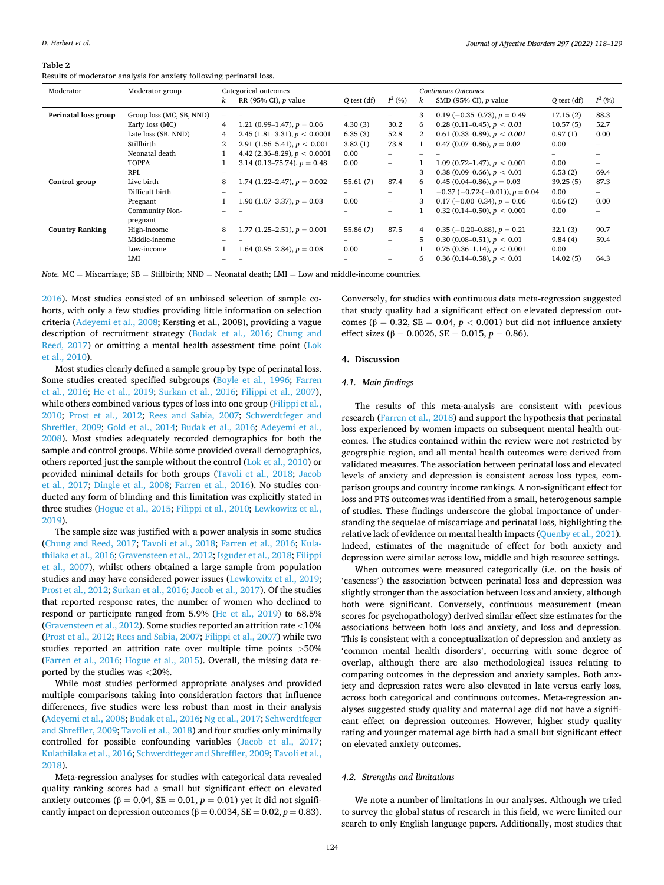#### <span id="page-6-0"></span>**Table 2**

Results of moderator analysis for anxiety following perinatal loss.

| Moderator              | Moderator group          |                | Categorical outcomes              |               |                          |                       | <b>Continuous Outcomes</b>                  |                 |                          |  |
|------------------------|--------------------------|----------------|-----------------------------------|---------------|--------------------------|-----------------------|---------------------------------------------|-----------------|--------------------------|--|
|                        |                          | k              | RR (95% CI), $p$ value            | $Q$ test (df) | $I^2$ (%)                | $\boldsymbol{k}$      | SMD (95% CI), $p$ value                     | $Q$ test $(df)$ | $I^2(96)$                |  |
| Perinatal loss group   | Group loss (MC, SB, NND) |                |                                   |               |                          | 3                     | $0.19$ (-0.35-0.73), $p = 0.49$             | 17.15(2)        | 88.3                     |  |
|                        | Early loss (MC)          | 4              | 1.21 (0.99–1.47), $p = 0.06$      | 4.30(3)       | 30.2                     | 6                     | $0.28(0.11-0.45), p < 0.01$                 | 10.57(5)        | 52.7                     |  |
|                        | Late loss (SB, NND)      | 4              | 2.45 $(1.81-3.31)$ , $p < 0.0001$ | 6.35(3)       | 52.8                     | $\mathbf{2}^{\prime}$ | 0.61 (0.33–0.89), $p < 0.001$               | 0.97(1)         | 0.00                     |  |
|                        | Stillbirth               | $\overline{2}$ | 2.91 (1.56–5.41), $p < 0.001$     | 3.82(1)       | 73.8                     |                       | 0.47 (0.07–0.86), $p = 0.02$                | 0.00            | $\overline{\phantom{0}}$ |  |
|                        | Neonatal death           |                | 4.42 (2.36–8.29), $p < 0.0001$    | 0.00          |                          |                       |                                             |                 |                          |  |
|                        | <b>TOPFA</b>             |                | 3.14 (0.13–75.74), $p = 0.48$     | 0.00          | $\overline{\phantom{0}}$ |                       | 1.09 (0.72–1.47), $p < 0.001$               | 0.00            | $\overline{\phantom{0}}$ |  |
|                        | <b>RPL</b>               |                |                                   | -             | $\overline{\phantom{0}}$ | 3                     | 0.38 (0.09–0.66), $p < 0.01$                | 6.53(2)         | 69.4                     |  |
| Control group          | Live birth               | 8              | 1.74 (1.22–2.47), $p = 0.002$     | 55.61(7)      | 87.4                     | 6.                    | 0.45 (0.04–0.86), $p = 0.03$                | 39.25(5)        | 87.3                     |  |
|                        | Difficult birth          |                |                                   |               | $\overline{\phantom{0}}$ |                       | $-0.37$ ( $-0.72$ -( $-0.01$ )), $p = 0.04$ | 0.00            | -                        |  |
|                        | Pregnant                 |                | 1.90 $(1.07-3.37)$ , $p = 0.03$   | 0.00          | $\overline{\phantom{0}}$ | 3                     | $0.17$ (-0.00-0.34), $p = 0.06$             | 0.66(2)         | 0.00                     |  |
|                        | Community Non-           |                |                                   |               |                          |                       | $0.32$ (0.14–0.50), $p < 0.001$             | 0.00            |                          |  |
|                        | pregnant                 |                |                                   |               |                          |                       |                                             |                 |                          |  |
| <b>Country Ranking</b> | High-income              | 8              | 1.77 $(1.25-2.51)$ , $p = 0.001$  | 55.86 (7)     | 87.5                     | 4                     | $0.35$ (-0.20-0.88), $p = 0.21$             | 32.1(3)         | 90.7                     |  |
|                        | Middle-income            |                |                                   |               |                          | 5.                    | $0.30(0.08-0.51), p < 0.01$                 | 9.84(4)         | 59.4                     |  |
|                        | Low-income               |                | 1.64 (0.95–2.84), $p = 0.08$      | 0.00          | $\overline{\phantom{0}}$ |                       | $0.75(0.36-1.14), p < 0.001$                | 0.00            | $\overline{\phantom{0}}$ |  |
|                        | LMI                      |                |                                   |               |                          | 6                     | $0.36$ (0.14–0.58), $p < 0.01$              | 14.02(5)        | 64.3                     |  |

*Note.* MC = Miscarriage; SB = Stillbirth; NND = Neonatal death; LMI = Low and middle-income countries.

[2016\)](#page-10-0). Most studies consisted of an unbiased selection of sample cohorts, with only a few studies providing little information on selection criteria [\(Adeyemi et al., 2008;](#page-9-0) Kersting et al., 2008), providing a vague description of recruitment strategy ([Budak et al., 2016](#page-10-0); [Chung and](#page-10-0)  [Reed, 2017\)](#page-10-0) or omitting a mental health assessment time point ([Lok](#page-10-0)  [et al., 2010\)](#page-10-0).

Most studies clearly defined a sample group by type of perinatal loss. Some studies created specified subgroups [\(Boyle et al., 1996;](#page-10-0) [Farren](#page-10-0)  [et al., 2016;](#page-10-0) [He et al., 2019;](#page-10-0) [Surkan et al., 2016](#page-10-0); [Filippi et al., 2007](#page-10-0)), while others combined various types of loss into one group (Filippi et al., [2010;](#page-10-0) [Prost et al., 2012;](#page-10-0) [Rees and Sabia, 2007;](#page-10-0) [Schwerdtfeger and](#page-10-0)  [Shreffler, 2009](#page-10-0); [Gold et al., 2014](#page-10-0); [Budak et al., 2016;](#page-10-0) [Adeyemi et al.,](#page-9-0)  [2008\)](#page-9-0). Most studies adequately recorded demographics for both the sample and control groups. While some provided overall demographics, others reported just the sample without the control ([Lok et al., 2010](#page-10-0)) or provided minimal details for both groups ([Tavoli et al., 2018;](#page-10-0) [Jacob](#page-10-0)  [et al., 2017](#page-10-0); [Dingle et al., 2008;](#page-10-0) [Farren et al., 2016\)](#page-10-0). No studies conducted any form of blinding and this limitation was explicitly stated in three studies [\(Hogue et al., 2015; Filippi et al., 2010; Lewkowitz et al.,](#page-10-0)  [2019\)](#page-10-0).

The sample size was justified with a power analysis in some studies ([Chung and Reed, 2017](#page-10-0); [Tavoli et al., 2018](#page-10-0); [Farren et al., 2016](#page-10-0); [Kula](#page-10-0)[thilaka et al., 2016; Gravensteen et al., 2012](#page-10-0); [Isguder et al., 2018; Filippi](#page-10-0)  [et al., 2007](#page-10-0)), whilst others obtained a large sample from population studies and may have considered power issues [\(Lewkowitz et al., 2019](#page-10-0); [Prost et al., 2012](#page-10-0); [Surkan et al., 2016](#page-10-0); [Jacob et al., 2017](#page-10-0)). Of the studies that reported response rates, the number of women who declined to respond or participate ranged from 5.9% ([He et al., 2019](#page-10-0)) to 68.5% ([Gravensteen et al., 2012\)](#page-10-0). Some studies reported an attrition rate *<*10% ([Prost et al., 2012](#page-10-0); [Rees and Sabia, 2007; Filippi et al., 2007\)](#page-10-0) while two studies reported an attrition rate over multiple time points *>*50% ([Farren et al., 2016](#page-10-0); [Hogue et al., 2015\)](#page-10-0). Overall, the missing data reported by the studies was *<*20%.

While most studies performed appropriate analyses and provided multiple comparisons taking into consideration factors that influence differences, five studies were less robust than most in their analysis ([Adeyemi et al., 2008](#page-9-0); [Budak et al., 2016](#page-10-0); [Ng et al., 2017](#page-10-0); [Schwerdtfeger](#page-10-0)  [and Shreffler, 2009](#page-10-0); [Tavoli et al., 2018\)](#page-10-0) and four studies only minimally controlled for possible confounding variables ([Jacob et al., 2017](#page-10-0); [Kulathilaka et al., 2016; Schwerdtfeger and Shreffler, 2009; Tavoli et al.,](#page-10-0)  [2018\)](#page-10-0).

Meta-regression analyses for studies with categorical data revealed quality ranking scores had a small but significant effect on elevated anxiety outcomes ( $β = 0.04$ ,  $SE = 0.01$ ,  $p = 0.01$ ) yet it did not significantly impact on depression outcomes ( $\beta = 0.0034$ ,  $SE = 0.02$ ,  $p = 0.83$ ).

Conversely, for studies with continuous data meta-regression suggested that study quality had a significant effect on elevated depression outcomes ( $β = 0.32$ ,  $SE = 0.04$ ,  $p < 0.001$ ) but did not influence anxiety effect sizes ( $\beta = 0.0026$ , SE = 0.015,  $p = 0.86$ ).

#### **4. Discussion**

#### *4.1. Main findings*

The results of this meta-analysis are consistent with previous research [\(Farren et al., 2018\)](#page-10-0) and support the hypothesis that perinatal loss experienced by women impacts on subsequent mental health outcomes. The studies contained within the review were not restricted by geographic region, and all mental health outcomes were derived from validated measures. The association between perinatal loss and elevated levels of anxiety and depression is consistent across loss types, comparison groups and country income rankings. A non-significant effect for loss and PTS outcomes was identified from a small, heterogenous sample of studies. These findings underscore the global importance of understanding the sequelae of miscarriage and perinatal loss, highlighting the relative lack of evidence on mental health impacts ([Quenby et al., 2021](#page-10-0)). Indeed, estimates of the magnitude of effect for both anxiety and depression were similar across low, middle and high resource settings.

When outcomes were measured categorically (i.e. on the basis of 'caseness') the association between perinatal loss and depression was slightly stronger than the association between loss and anxiety, although both were significant. Conversely, continuous measurement (mean scores for psychopathology) derived similar effect size estimates for the associations between both loss and anxiety, and loss and depression. This is consistent with a conceptualization of depression and anxiety as 'common mental health disorders', occurring with some degree of overlap, although there are also methodological issues relating to comparing outcomes in the depression and anxiety samples. Both anxiety and depression rates were also elevated in late versus early loss, across both categorical and continuous outcomes. Meta-regression analyses suggested study quality and maternal age did not have a significant effect on depression outcomes. However, higher study quality rating and younger maternal age birth had a small but significant effect on elevated anxiety outcomes.

## *4.2. Strengths and limitations*

We note a number of limitations in our analyses. Although we tried to survey the global status of research in this field, we were limited our search to only English language papers. Additionally, most studies that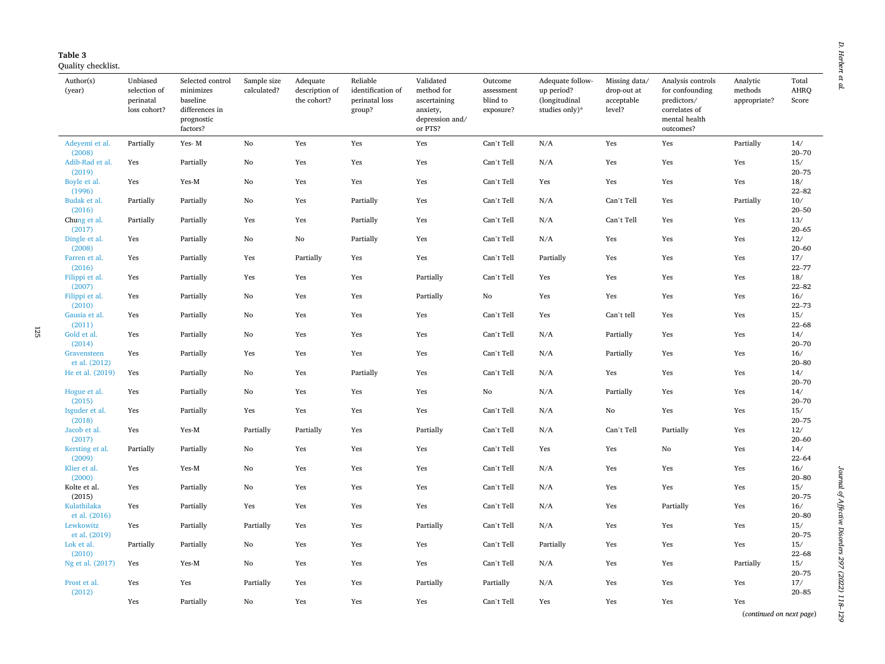<span id="page-7-0"></span>

125

Quality checklist.

| Author(s)<br>(year)                         | Unbiased<br>selection of<br>perinatal<br>loss cohort? | Selected control<br>minimizes<br>baseline<br>differences in<br>prognostic<br>factors? | Sample size<br>calculated? | Adequate<br>description of<br>the cohort? | Reliable<br>identification of<br>perinatal loss<br>group? | Validated<br>method for<br>ascertaining<br>anxiety,<br>depression and/<br>or PTS? | Outcome<br>assessment<br>blind to<br>exposure? | Adequate follow-<br>up period?<br>(longitudinal<br>studies only)* | Missing data/<br>drop-out at<br>acceptable<br>level? | Analysis controls<br>for confounding<br>predictors/<br>correlates of<br>mental health<br>outcomes? | Analytic<br>methods<br>appropriate? | Total<br>AHRQ<br>Score        |
|---------------------------------------------|-------------------------------------------------------|---------------------------------------------------------------------------------------|----------------------------|-------------------------------------------|-----------------------------------------------------------|-----------------------------------------------------------------------------------|------------------------------------------------|-------------------------------------------------------------------|------------------------------------------------------|----------------------------------------------------------------------------------------------------|-------------------------------------|-------------------------------|
| Adeyemi et al.                              | Partially                                             | Yes-M                                                                                 | No                         | Yes                                       | Yes                                                       | Yes                                                                               | Can't Tell                                     | N/A                                                               | Yes                                                  | Yes                                                                                                | Partially                           | 14/                           |
| (2008)<br>Adib-Rad et al.<br>(2019)         | Yes                                                   | Partially                                                                             | No                         | Yes                                       | Yes                                                       | Yes                                                                               | Can't Tell                                     | N/A                                                               | Yes                                                  | Yes                                                                                                | Yes                                 | $20 - 70$<br>15/<br>$20 - 75$ |
| Boyle et al.<br>(1996)                      | Yes                                                   | Yes-M                                                                                 | No                         | Yes                                       | Yes                                                       | Yes                                                                               | Can't Tell                                     | Yes                                                               | Yes                                                  | Yes                                                                                                | Yes                                 | 18/<br>$22 - 82$              |
| Budak et al.<br>(2016)                      | Partially                                             | Partially                                                                             | No                         | Yes                                       | Partially                                                 | Yes                                                                               | Can't Tell                                     | N/A                                                               | Can't Tell                                           | Yes                                                                                                | Partially                           | $10/$<br>$20 - 50$            |
| Chung et al.<br>(2017)                      | Partially                                             | Partially                                                                             | Yes                        | Yes                                       | Partially                                                 | Yes                                                                               | Can't Tell                                     | N/A                                                               | Can't Tell                                           | Yes                                                                                                | Yes                                 | $13/$<br>$20 - 65$            |
| Dingle et al.<br>(2008)                     | Yes                                                   | Partially                                                                             | No                         | No                                        | Partially                                                 | Yes                                                                               | Can't Tell                                     | N/A                                                               | Yes                                                  | Yes                                                                                                | Yes                                 | 12/<br>$20 - 60$              |
| Farren et al.<br>(2016)                     | Yes                                                   | Partially                                                                             | Yes                        | Partially                                 | Yes                                                       | Yes                                                                               | Can't Tell                                     | Partially                                                         | Yes                                                  | Yes                                                                                                | Yes                                 | 17/<br>$22 - 77$              |
| Filippi et al.<br>(2007)                    | Yes                                                   | Partially                                                                             | Yes                        | Yes                                       | Yes                                                       | Partially                                                                         | Can't Tell                                     | Yes                                                               | Yes                                                  | Yes                                                                                                | Yes                                 | 18/<br>$22 - 82$              |
| Filippi et al.<br>(2010)                    | Yes                                                   | Partially                                                                             | No                         | Yes                                       | Yes                                                       | Partially                                                                         | No                                             | Yes                                                               | Yes                                                  | Yes                                                                                                | Yes                                 | 16/<br>$22 - 73$              |
| Gausia et al.<br>(2011)                     | Yes                                                   | Partially                                                                             | No                         | Yes                                       | Yes                                                       | Yes                                                                               | Can't Tell                                     | Yes                                                               | Can't tell                                           | Yes                                                                                                | Yes                                 | 15/<br>$22 - 68$              |
| Gold et al.<br>(2014)                       | Yes                                                   | Partially                                                                             | No                         | Yes                                       | Yes                                                       | Yes                                                                               | Can't Tell                                     | N/A                                                               | Partially                                            | Yes                                                                                                | Yes                                 | 14/<br>$20 - 70$              |
| Gravensteen<br>et al. (2012)                | Yes                                                   | Partially                                                                             | Yes                        | Yes                                       | Yes                                                       | Yes                                                                               | Can't Tell                                     | N/A                                                               | Partially                                            | Yes                                                                                                | Yes                                 | 16/<br>$20 - 80$              |
| He et al. (2019)                            | Yes                                                   | Partially                                                                             | No                         | Yes                                       | Partially                                                 | Yes                                                                               | Can't Tell                                     | N/A                                                               | Yes                                                  | Yes                                                                                                | Yes                                 | 14/<br>$20 - 70$              |
| Hogue et al.<br>(2015)                      | Yes                                                   | Partially                                                                             | No                         | Yes                                       | Yes                                                       | Yes                                                                               | No                                             | N/A                                                               | Partially                                            | Yes                                                                                                | Yes                                 | 14/<br>$20 - 70$              |
| Isguder et al.<br>(2018)                    | Yes                                                   | Partially                                                                             | Yes                        | Yes                                       | Yes                                                       | Yes                                                                               | Can't Tell                                     | N/A                                                               | $\rm No$                                             | Yes                                                                                                | Yes                                 | 15/<br>$20 - 75$              |
| Jacob et al.<br>(2017)                      | Yes                                                   | Yes-M                                                                                 | Partially                  | Partially                                 | Yes                                                       | Partially                                                                         | Can't Tell                                     | N/A                                                               | Can't Tell                                           | Partially                                                                                          | Yes                                 | 12/<br>$20 - 60$              |
| Kersting et al.<br>(2009)                   | Partially                                             | Partially                                                                             | No                         | Yes                                       | Yes                                                       | Yes                                                                               | Can't Tell                                     | Yes                                                               | Yes                                                  | No                                                                                                 | Yes                                 | 14/<br>$22 - 64$              |
| Klier et al.<br>(2000)                      | Yes                                                   | Yes-M                                                                                 | No                         | Yes                                       | Yes                                                       | Yes                                                                               | Can't Tell                                     | N/A                                                               | Yes                                                  | Yes                                                                                                | Yes                                 | 16/<br>$20 - 80$              |
| Kolte et al.<br>(2015)                      | Yes                                                   | Partially                                                                             | No                         | Yes                                       | Yes                                                       | Yes                                                                               | Can't Tell                                     | N/A                                                               | Yes                                                  | Yes                                                                                                | Yes                                 | 15/<br>$20 - 75$              |
| Kulathilaka                                 | Yes                                                   | Partially                                                                             | Yes                        | Yes                                       | Yes                                                       | Yes                                                                               | Can't Tell                                     | N/A                                                               | Yes                                                  | Partially                                                                                          | Yes                                 | 16/                           |
| et al. (2016)<br>Lewkowitz<br>et al. (2019) | Yes                                                   | Partially                                                                             | Partially                  | Yes                                       | Yes                                                       | Partially                                                                         | Can't Tell                                     | N/A                                                               | Yes                                                  | Yes                                                                                                | Yes                                 | $20 - 80$<br>15/<br>$20 - 75$ |
| Lok et al.<br>(2010)                        | Partially                                             | Partially                                                                             | No                         | Yes                                       | Yes                                                       | Yes                                                                               | Can't Tell                                     | Partially                                                         | Yes                                                  | Yes                                                                                                | Yes                                 | 15/<br>$22 - 68$              |
| Ng et al. (2017)                            | Yes                                                   | Yes-M                                                                                 | No                         | Yes                                       | Yes                                                       | Yes                                                                               | Can't Tell                                     | N/A                                                               | Yes                                                  | Yes                                                                                                | Partially                           | 15/<br>$20 - 75$              |
| Prost et al.<br>(2012)                      | Yes                                                   | Yes                                                                                   | Partially                  | Yes                                       | Yes                                                       | Partially                                                                         | Partially                                      | N/A                                                               | Yes                                                  | Yes                                                                                                | Yes                                 | 17/<br>$20 - 85$              |
|                                             | Yes                                                   | Partially                                                                             | No                         | Yes                                       | Yes                                                       | Yes                                                                               | Can't Tell                                     | Yes                                                               | Yes                                                  | Yes                                                                                                | Yes                                 |                               |
|                                             |                                                       |                                                                                       |                            |                                           |                                                           |                                                                                   |                                                |                                                                   |                                                      |                                                                                                    | (continued on next page)            |                               |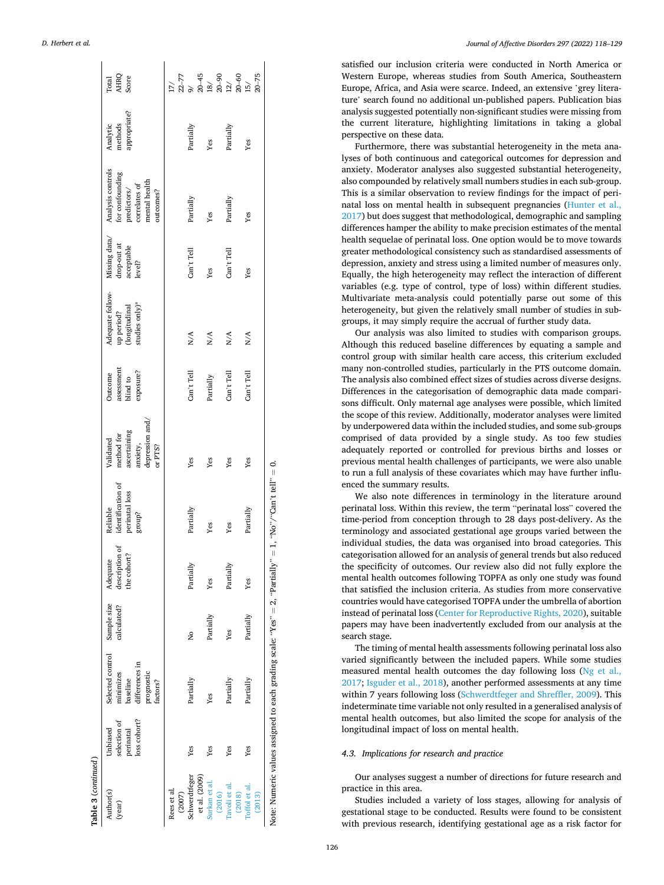|  | D. Herbert et al. |  |  |  |
|--|-------------------|--|--|--|
|--|-------------------|--|--|--|

|                     | AHRQ<br>Score<br>Total                                                                                           | 17/                  |                                | $777$ $30 - 45$ $30 - 45$ $30 - 30$ $30 - 30$ $30 - 50$ $30 - 75$ $30 - 75$ |                         |                         |                                                                             |
|---------------------|------------------------------------------------------------------------------------------------------------------|----------------------|--------------------------------|-----------------------------------------------------------------------------|-------------------------|-------------------------|-----------------------------------------------------------------------------|
|                     | appropriate?<br>Analytic<br>methods                                                                              |                      | Partially                      | Yes                                                                         | Partially               | Yes                     |                                                                             |
|                     | Missing data/ Analysis controls<br>for confounding<br>predictors/<br>correlates of<br>mental health<br>outcomes? |                      | Partially                      | Yes                                                                         | Partially               | Yes                     |                                                                             |
|                     | drop-out at<br>acceptable<br>level?                                                                              |                      | Can't Tell                     | Yes                                                                         | Can't Tell              | Yes                     |                                                                             |
|                     | Adequate follow-<br>up period?<br>(longitudinal<br>studies only)*                                                |                      | N/A                            | N/A                                                                         | N/A                     | N/A                     |                                                                             |
|                     | assessment<br>blind to<br>exposure?<br><b>Outcome</b>                                                            |                      | Can't Tell                     | Partially                                                                   | Can't Tell              | Can't Tell              |                                                                             |
|                     | depression and,<br>ascertaining<br>method for<br>Validated<br>anxiety,<br>or PTS?                                |                      | Yes                            | Yes                                                                         | Yes                     | Yes                     |                                                                             |
|                     | identification of<br>perinatal loss<br>Reliable<br>group?                                                        |                      | Partially                      | Yes                                                                         | Yes                     | Partially               | $= 1$ , "No"/"Can't tell" $= 0$ .                                           |
|                     | $\rm description$ of the cohort?<br>Adequate                                                                     |                      | Partially                      | Yes                                                                         | Partially               | Yes                     |                                                                             |
|                     | Sample size<br>calculated?                                                                                       |                      | 2                              | Partially                                                                   | Yes                     | Partially               |                                                                             |
|                     | Selected control<br>differences in<br>minimizes<br>prognostic<br>baseline<br>factors?                            |                      | Partially                      | Yes                                                                         | Partially               | Partially               | Note: Numeric values assigned to each grading scale: "Yes" = 2, "Partially" |
|                     | loss cohort?<br>selection of<br>perinatal<br>Unbiased                                                            |                      | Yes                            | Yes                                                                         | Yes                     | Yes                     |                                                                             |
| Table 3 (continued) | Author(s)<br>(year)                                                                                              | Rees et al<br>(2007) | Schwerdtfeger<br>et al. (2009) | Surkan et al.<br>(2016)                                                     | Tavoli et al.<br>(2018) | Toffol et al.<br>(2013) |                                                                             |

*Journal of Affective Disorders 297 (2022) 118–129*

satisfied our inclusion criteria were conducted in North America or Western Europe, whereas studies from South America, Southeastern Europe, Africa, and Asia were scarce. Indeed, an extensive 'grey literature' search found no additional un-published papers. Publication bias analysis suggested potentially non-significant studies were missing from the current literature, highlighting limitations in taking a global perspective on these data.

Furthermore, there was substantial heterogeneity in the meta analyses of both continuous and categorical outcomes for depression and anxiety. Moderator analyses also suggested substantial heterogeneity, also compounded by relatively small numbers studies in each sub-group. This is a similar observation to review findings for the impact of perinatal loss on mental health in subsequent pregnancies [\(Hunter et al.,](#page-10-0)  [2017\)](#page-10-0) but does suggest that methodological, demographic and sampling differences hamper the ability to make precision estimates of the mental health sequelae of perinatal loss. One option would be to move towards greater methodological consistency such as standardised assessments of depression, anxiety and stress using a limited number of measures only. Equally, the high heterogeneity may reflect the interaction of different variables (e.g. type of control, type of loss) within different studies. Multivariate meta-analysis could potentially parse out some of this heterogeneity, but given the relatively small number of studies in subgroups, it may simply require the accrual of further study data.

Our analysis was also limited to studies with comparison groups. Although this reduced baseline differences by equating a sample and control group with similar health care access, this criterium excluded many non-controlled studies, particularly in the PTS outcome domain. The analysis also combined effect sizes of studies across diverse designs. Differences in the categorisation of demographic data made comparisons difficult. Only maternal age analyses were possible, which limited the scope of this review. Additionally, moderator analyses were limited by underpowered data within the included studies, and some sub-groups comprised of data provided by a single study. As too few studies adequately reported or controlled for previous births and losses or previous mental health challenges of participants, we were also unable to run a full analysis of these covariates which may have further influenced the summary results.

We also note differences in terminology in the literature around perinatal loss. Within this review, the term "perinatal loss" covered the time-period from conception through to 28 days post-delivery. As the terminology and associated gestational age groups varied between the individual studies, the data was organised into broad categories. This categorisation allowed for an analysis of general trends but also reduced the specificity of outcomes. Our review also did not fully explore the mental health outcomes following TOPFA as only one study was found that satisfied the inclusion criteria. As studies from more conservative countries would have categorised TOPFA under the umbrella of abortion instead of perinatal loss ([Center for Reproductive Rights, 2020](#page-10-0)), suitable papers may have been inadvertently excluded from our analysis at the search stage.

The timing of mental health assessments following perinatal loss also varied significantly between the included papers. While some studies measured mental health outcomes the day following loss ([Ng et al.,](#page-10-0)  [2017; Isguder et al., 2018\)](#page-10-0), another performed assessments at any time within 7 years following loss ([Schwerdtfeger and Shreffler, 2009](#page-10-0)). This indeterminate time variable not only resulted in a generalised analysis of mental health outcomes, but also limited the scope for analysis of the longitudinal impact of loss on mental health.

# *4.3. Implications for research and practice*

Our analyses suggest a number of directions for future research and practice in this area.

Studies included a variety of loss stages, allowing for analysis of gestational stage to be conducted. Results were found to be consistent with previous research, identifying gestational age as a risk factor for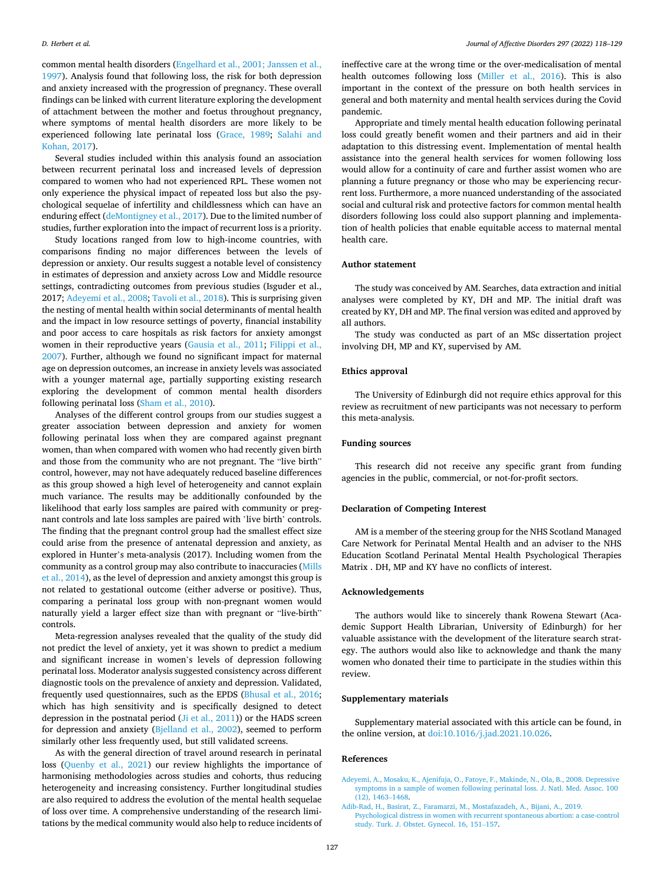<span id="page-9-0"></span>common mental health disorders [\(Engelhard et al., 2001; Janssen et al.,](#page-10-0)  [1997\)](#page-10-0). Analysis found that following loss, the risk for both depression and anxiety increased with the progression of pregnancy. These overall findings can be linked with current literature exploring the development of attachment between the mother and foetus throughout pregnancy, where symptoms of mental health disorders are more likely to be experienced following late perinatal loss [\(Grace, 1989](#page-10-0); [Salahi and](#page-10-0)  [Kohan, 2017\)](#page-10-0).

Several studies included within this analysis found an association between recurrent perinatal loss and increased levels of depression compared to women who had not experienced RPL. These women not only experience the physical impact of repeated loss but also the psychological sequelae of infertility and childlessness which can have an enduring effect [\(deMontigney et al., 2017\)](#page-10-0). Due to the limited number of studies, further exploration into the impact of recurrent loss is a priority.

Study locations ranged from low to high-income countries, with comparisons finding no major differences between the levels of depression or anxiety. Our results suggest a notable level of consistency in estimates of depression and anxiety across Low and Middle resource settings, contradicting outcomes from previous studies (Isguder et al., 2017; Adeyemi et al., 2008; [Tavoli et al., 2018](#page-10-0)). This is surprising given the nesting of mental health within social determinants of mental health and the impact in low resource settings of poverty, financial instability and poor access to care hospitals as risk factors for anxiety amongst women in their reproductive years ([Gausia et al., 2011](#page-10-0); [Filippi et al.,](#page-10-0)  [2007\)](#page-10-0). Further, although we found no significant impact for maternal age on depression outcomes, an increase in anxiety levels was associated with a younger maternal age, partially supporting existing research exploring the development of common mental health disorders following perinatal loss ([Sham et al., 2010\)](#page-10-0).

Analyses of the different control groups from our studies suggest a greater association between depression and anxiety for women following perinatal loss when they are compared against pregnant women, than when compared with women who had recently given birth and those from the community who are not pregnant. The "live birth" control, however, may not have adequately reduced baseline differences as this group showed a high level of heterogeneity and cannot explain much variance. The results may be additionally confounded by the likelihood that early loss samples are paired with community or pregnant controls and late loss samples are paired with 'live birth' controls. The finding that the pregnant control group had the smallest effect size could arise from the presence of antenatal depression and anxiety, as explored in Hunter's meta-analysis (2017). Including women from the community as a control group may also contribute to inaccuracies [\(Mills](#page-10-0)  [et al., 2014\)](#page-10-0), as the level of depression and anxiety amongst this group is not related to gestational outcome (either adverse or positive). Thus, comparing a perinatal loss group with non-pregnant women would naturally yield a larger effect size than with pregnant or "live-birth" controls.

Meta-regression analyses revealed that the quality of the study did not predict the level of anxiety, yet it was shown to predict a medium and significant increase in women's levels of depression following perinatal loss. Moderator analysis suggested consistency across different diagnostic tools on the prevalence of anxiety and depression. Validated, frequently used questionnaires, such as the EPDS [\(Bhusal et al., 2016](#page-10-0); which has high sensitivity and is specifically designed to detect depression in the postnatal period ([Ji et al., 2011](#page-10-0))) or the HADS screen for depression and anxiety [\(Bjelland et al., 2002\)](#page-10-0), seemed to perform similarly other less frequently used, but still validated screens.

As with the general direction of travel around research in perinatal loss ([Quenby et al., 2021\)](#page-10-0) our review highlights the importance of harmonising methodologies across studies and cohorts, thus reducing heterogeneity and increasing consistency. Further longitudinal studies are also required to address the evolution of the mental health sequelae of loss over time. A comprehensive understanding of the research limitations by the medical community would also help to reduce incidents of ineffective care at the wrong time or the over-medicalisation of mental health outcomes following loss ([Miller et al., 2016](#page-10-0)). This is also important in the context of the pressure on both health services in general and both maternity and mental health services during the Covid pandemic.

Appropriate and timely mental health education following perinatal loss could greatly benefit women and their partners and aid in their adaptation to this distressing event. Implementation of mental health assistance into the general health services for women following loss would allow for a continuity of care and further assist women who are planning a future pregnancy or those who may be experiencing recurrent loss. Furthermore, a more nuanced understanding of the associated social and cultural risk and protective factors for common mental health disorders following loss could also support planning and implementation of health policies that enable equitable access to maternal mental health care.

#### **Author statement**

The study was conceived by AM. Searches, data extraction and initial analyses were completed by KY, DH and MP. The initial draft was created by KY, DH and MP. The final version was edited and approved by all authors.

The study was conducted as part of an MSc dissertation project involving DH, MP and KY, supervised by AM.

# **Ethics approval**

The University of Edinburgh did not require ethics approval for this review as recruitment of new participants was not necessary to perform this meta-analysis.

## **Funding sources**

This research did not receive any specific grant from funding agencies in the public, commercial, or not-for-profit sectors.

## **Declaration of Competing Interest**

AM is a member of the steering group for the NHS Scotland Managed Care Network for Perinatal Mental Health and an adviser to the NHS Education Scotland Perinatal Mental Health Psychological Therapies Matrix . DH, MP and KY have no conflicts of interest.

#### **Acknowledgements**

The authors would like to sincerely thank Rowena Stewart (Academic Support Health Librarian, University of Edinburgh) for her valuable assistance with the development of the literature search strategy. The authors would also like to acknowledge and thank the many women who donated their time to participate in the studies within this review.

#### **Supplementary materials**

Supplementary material associated with this article can be found, in the online version, at [doi:10.1016/j.jad.2021.10.026](https://doi.org/10.1016/j.jad.2021.10.026).

#### **References**

[Adeyemi, A., Mosaku, K., Ajenifuja, O., Fatoye, F., Makinde, N., Ola, B., 2008. Depressive](http://refhub.elsevier.com/S0165-0327(21)01100-9/sbref0001)  [symptoms in a sample of women following perinatal loss. J. Natl. Med. Assoc. 100](http://refhub.elsevier.com/S0165-0327(21)01100-9/sbref0001)  [\(12\), 1463](http://refhub.elsevier.com/S0165-0327(21)01100-9/sbref0001)–1468.

[Adib-Rad, H., Basirat, Z., Faramarzi, M., Mostafazadeh, A., Bijani, A., 2019.](http://refhub.elsevier.com/S0165-0327(21)01100-9/sbref0002)  [Psychological distress in women with recurrent spontaneous abortion: a case-control](http://refhub.elsevier.com/S0165-0327(21)01100-9/sbref0002)  [study. Turk. J. Obstet. Gynecol. 16, 151](http://refhub.elsevier.com/S0165-0327(21)01100-9/sbref0002)–157.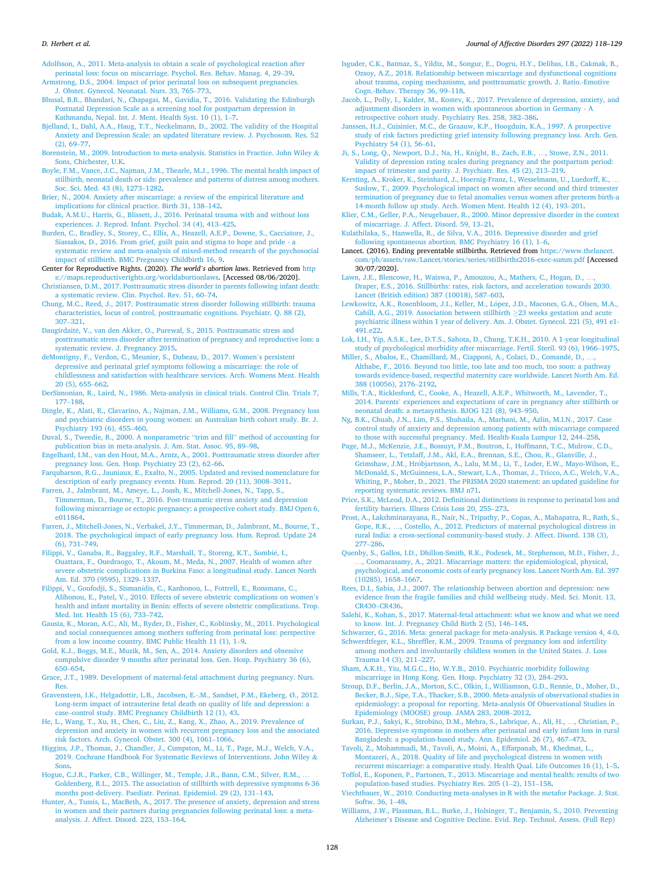<span id="page-10-0"></span>[Adolfsson, A., 2011. Meta-analysis to obtain a scale of psychological reaction after](http://refhub.elsevier.com/S0165-0327(21)01100-9/sbref0003) [perinatal loss: focus on miscarriage. Psychol. Res. Behav. Manag. 4, 29](http://refhub.elsevier.com/S0165-0327(21)01100-9/sbref0003)–39.

[Armstrong, D.S., 2004. Impact of prior perinatal loss on subsequent pregnancies.](http://refhub.elsevier.com/S0165-0327(21)01100-9/sbref0004) [J. Obstet. Gynecol. Neonatal. Nurs. 33, 765](http://refhub.elsevier.com/S0165-0327(21)01100-9/sbref0004)–773.

- [Bhusal, B.R., Bhandari, N., Chapagai, M., Gavidia, T., 2016. Validating the Edinburgh](http://refhub.elsevier.com/S0165-0327(21)01100-9/sbref0005) [Postnatal Depression Scale as a screening tool for postpartum depression in](http://refhub.elsevier.com/S0165-0327(21)01100-9/sbref0005)  [Kathmandu, Nepal. Int. J. Ment. Health Syst. 10 \(1\), 1](http://refhub.elsevier.com/S0165-0327(21)01100-9/sbref0005)–7.
- [Bjelland, I., Dahl, A.A., Haug, T.T., Neckelmann, D., 2002. The validity of the Hospital](http://refhub.elsevier.com/S0165-0327(21)01100-9/sbref0006)  [Anxiety and Depression Scale: an updated literature review. J. Psychosom. Res. 52](http://refhub.elsevier.com/S0165-0327(21)01100-9/sbref0006)   $(2)$ , 69–77.
- [Borenstein, M., 2009. Introduction to meta-analysis. Statistics in Practice. John Wiley](http://refhub.elsevier.com/S0165-0327(21)01100-9/sbref0007) & [Sons, Chichester, U.K](http://refhub.elsevier.com/S0165-0327(21)01100-9/sbref0007).
- [Boyle, F.M., Vance, J.C., Najman, J.M., Thearle, M.J., 1996. The mental health impact of](http://refhub.elsevier.com/S0165-0327(21)01100-9/sbref0008)  [stillbirth, neonatal death or sids: prevalence and patterns of distress among mothers.](http://refhub.elsevier.com/S0165-0327(21)01100-9/sbref0008)  [Soc. Sci. Med. 43 \(8\), 1273](http://refhub.elsevier.com/S0165-0327(21)01100-9/sbref0008)–1282.
- [Brier, N., 2004. Anxiety after miscarriage: a review of the empirical literature and](http://refhub.elsevier.com/S0165-0327(21)01100-9/sbref0009)  [implications for clinical practice. Birth 31, 138](http://refhub.elsevier.com/S0165-0327(21)01100-9/sbref0009)–142.
- [Budak, A.M.U., Harris, G., Blissett, J., 2016. Perinatal trauma with and without loss](http://refhub.elsevier.com/S0165-0327(21)01100-9/sbref0010) [experiences. J. Reprod. Infant. Psychol. 34 \(4\), 413](http://refhub.elsevier.com/S0165-0327(21)01100-9/sbref0010)–425.
- [Burden, C., Bradley, S., Storey, C., Ellis, A., Heazell, A.E.P., Downe, S., Cacciatore, J.,](http://refhub.elsevier.com/S0165-0327(21)01100-9/sbref0011) [Siassakos, D., 2016. From grief, guilt pain and stigma to hope and pride - a](http://refhub.elsevier.com/S0165-0327(21)01100-9/sbref0011) [systematic review and meta-analysis of mixed-method research of the psychosocial](http://refhub.elsevier.com/S0165-0327(21)01100-9/sbref0011) [impact of stillbirth. BMC Pregnancy Childbirth 16, 9.](http://refhub.elsevier.com/S0165-0327(21)01100-9/sbref0011)
- Center for Reproductive Rights. (2020). *The world's abortion laws*. Retrieved from [http](https://maps.reproductiverights.org/worldabortionlaws) [s://maps.reproductiverights.org/worldabortionlaws](https://maps.reproductiverights.org/worldabortionlaws). [Accessed 08/06/2020].
- [Christiansen, D.M., 2017. Posttraumatic stress disorder in parents following infant death:](http://refhub.elsevier.com/S0165-0327(21)01100-9/sbref0013)  [a systematic review. Clin. Psychol. Rev. 51, 60](http://refhub.elsevier.com/S0165-0327(21)01100-9/sbref0013)–74.
- [Chung, M.C., Reed, J., 2017. Posttraumatic stress disorder following stillbirth: trauma](http://refhub.elsevier.com/S0165-0327(21)01100-9/sbref0014) [characteristics, locus of control, posttraumatic cognitions. Psychiatr. Q. 88 \(2\),](http://refhub.elsevier.com/S0165-0327(21)01100-9/sbref0014) 307–[321](http://refhub.elsevier.com/S0165-0327(21)01100-9/sbref0014).
- Daugirdaite, V., van den Akker, O., Purewal, S., 2015. Posttraumatic stress and [posttraumatic stress disorder after termination of pregnancy and reproductive loss: a](http://refhub.elsevier.com/S0165-0327(21)01100-9/sbref0015)  [systematic review. J. Pregnancy 2015](http://refhub.elsevier.com/S0165-0327(21)01100-9/sbref0015).
- [deMontigny, F., Verdon, C., Meunier, S., Dubeau, D., 2017. Women](http://refhub.elsevier.com/S0165-0327(21)01100-9/sbref0016)'s persistent [depressive and perinatal grief symptoms following a miscarriage: the role of](http://refhub.elsevier.com/S0165-0327(21)01100-9/sbref0016) [childlessness and satisfaction with healthcare services. Arch. Womens Ment. Health](http://refhub.elsevier.com/S0165-0327(21)01100-9/sbref0016)  [20 \(5\), 655](http://refhub.elsevier.com/S0165-0327(21)01100-9/sbref0016)–662.
- [DerSimonian, R., Laird, N., 1986. Meta-analysis in clinical trials. Control Clin. Trials 7,](http://refhub.elsevier.com/S0165-0327(21)01100-9/sbref0017) 177–[188](http://refhub.elsevier.com/S0165-0327(21)01100-9/sbref0017).
- [Dingle, K., Alati, R., Clavarino, A., Najman, J.M., Williams, G.M., 2008. Pregnancy loss](http://refhub.elsevier.com/S0165-0327(21)01100-9/sbref0018)  [and psychiatric disorders in young women: an Australian birth cohort study. Br. J.](http://refhub.elsevier.com/S0165-0327(21)01100-9/sbref0018)  [Psychiatry 193 \(6\), 455](http://refhub.elsevier.com/S0165-0327(21)01100-9/sbref0018)–460.
- [Duval, S., Tweedie, R., 2000. A nonparametric](http://refhub.elsevier.com/S0165-0327(21)01100-9/sbref0019) "trim and fill" method of accounting for [publication bias in meta-analysis. J. Am. Stat. Assoc. 95, 89](http://refhub.elsevier.com/S0165-0327(21)01100-9/sbref0019)–98.
- [Engelhard, I.M., van den Hout, M.A., Arntz, A., 2001. Posttraumatic stress disorder after](http://refhub.elsevier.com/S0165-0327(21)01100-9/sbref0020)  [pregnancy loss. Gen. Hosp. Psychiatry 23 \(2\), 62](http://refhub.elsevier.com/S0165-0327(21)01100-9/sbref0020)–66.
- [Farquharson, R.G., Jauniaux, E., Exalto, N., 2005. Updated and revised nomenclature for](http://refhub.elsevier.com/S0165-0327(21)01100-9/sbref0021)  [description of early pregnancy events. Hum. Reprod. 20 \(11\), 3008](http://refhub.elsevier.com/S0165-0327(21)01100-9/sbref0021)–3011.
- [Farren, J., Jalmbrant, M., Ameye, L., Joash, K., Mitchell-Jones, N., Tapp, S.,](http://refhub.elsevier.com/S0165-0327(21)01100-9/sbref0022)  [Timmerman, D., Bourne, T., 2016. Post-traumatic stress anxiety and depression](http://refhub.elsevier.com/S0165-0327(21)01100-9/sbref0022) [following miscarriage or ectopic pregnancy: a prospective cohort study. BMJ Open 6,](http://refhub.elsevier.com/S0165-0327(21)01100-9/sbref0022)  [e011864](http://refhub.elsevier.com/S0165-0327(21)01100-9/sbref0022).
- [Farren, J., Mitchell-Jones, N., Verbakel, J.Y., Timmerman, D., Jalmbrant, M., Bourne, T.,](http://refhub.elsevier.com/S0165-0327(21)01100-9/sbref0023)  [2018. The psychological impact of early pregnancy loss. Hum. Reprod. Update 24](http://refhub.elsevier.com/S0165-0327(21)01100-9/sbref0023)  [\(6\), 731](http://refhub.elsevier.com/S0165-0327(21)01100-9/sbref0023)–749.
- [Filippi, V., Ganaba, R., Baggaley, R.F., Marshall, T., Storeng, K.T., Sombi](http://refhub.elsevier.com/S0165-0327(21)01100-9/sbref0024)é, I., [Ouattara, F., Ouedraogo, T., Akoum, M., Meda, N., 2007. Health of women after](http://refhub.elsevier.com/S0165-0327(21)01100-9/sbref0024)  [severe obstetric complications in Burkina Faso: a longitudinal study. Lancet North](http://refhub.elsevier.com/S0165-0327(21)01100-9/sbref0024)
- [Am. Ed. 370 \(9595\), 1329](http://refhub.elsevier.com/S0165-0327(21)01100-9/sbref0024)–1337. [Filippi, V., Goufodji, S., Sismanidis, C., Kanhonou, L., Fottrell, E., Ronsmans, C.,](http://refhub.elsevier.com/S0165-0327(21)01100-9/sbref0025)  [Alihonou, E., Patel, V., 2010. Effects of severe obstetric complications on women](http://refhub.elsevier.com/S0165-0327(21)01100-9/sbref0025)'s [health and infant mortality in Benin: effects of severe obstetric complications. Trop.](http://refhub.elsevier.com/S0165-0327(21)01100-9/sbref0025)  [Med. Int. Health 15 \(6\), 733](http://refhub.elsevier.com/S0165-0327(21)01100-9/sbref0025)–742.
- [Gausia, K., Moran, A.C., Ali, M., Ryder, D., Fisher, C., Koblinsky, M., 2011. Psychological](http://refhub.elsevier.com/S0165-0327(21)01100-9/sbref0026)  [and social consequences among mothers suffering from perinatal loss: perspective](http://refhub.elsevier.com/S0165-0327(21)01100-9/sbref0026) [from a low income country. BMC Public Health 11 \(1\), 1](http://refhub.elsevier.com/S0165-0327(21)01100-9/sbref0026)-9.
- [Gold, K.J., Boggs, M.E., Muzik, M., Sen, A., 2014. Anxiety disorders and obsessive](http://refhub.elsevier.com/S0165-0327(21)01100-9/sbref0027) [compulsive disorder 9 months after perinatal loss. Gen. Hosp. Psychiatry 36 \(6\),](http://refhub.elsevier.com/S0165-0327(21)01100-9/sbref0027) 650–[654](http://refhub.elsevier.com/S0165-0327(21)01100-9/sbref0027).
- [Grace, J.T., 1989. Development of maternal-fetal attachment during pregnancy. Nurs.](http://refhub.elsevier.com/S0165-0327(21)01100-9/sbref0028) [Res.](http://refhub.elsevier.com/S0165-0327(21)01100-9/sbref0028)
- [Gravensteen, I.K., Helgadottir, L.B., Jacobsen, E.-.M., Sandset, P.M., Ekeberg,](http://refhub.elsevier.com/S0165-0327(21)01100-9/sbref0029) Ø., 2012. [Long-term impact of intrauterine fetal death on quality of life and depression: a](http://refhub.elsevier.com/S0165-0327(21)01100-9/sbref0029)  case–[control study. BMC Pregnancy Childbirth 12 \(1\), 43.](http://refhub.elsevier.com/S0165-0327(21)01100-9/sbref0029)
- [He, L., Wang, T., Xu, H., Chen, C., Liu, Z., Kang, X., Zhao, A., 2019. Prevalence of](http://refhub.elsevier.com/S0165-0327(21)01100-9/sbref0030)  [depression and anxiety in women with recurrent pregnancy loss and the associated](http://refhub.elsevier.com/S0165-0327(21)01100-9/sbref0030)  [risk factors. Arch. Gynecol. Obstet. 300 \(4\), 1061](http://refhub.elsevier.com/S0165-0327(21)01100-9/sbref0030)–1066.
- [Higgins, J.P., Thomas, J., Chandler, J., Cumpston, M., Li, T., Page, M.J., Welch, V.A.,](http://refhub.elsevier.com/S0165-0327(21)01100-9/sbref0031)  [2019. Cochrane Handbook For Systematic Reviews of Interventions. John Wiley](http://refhub.elsevier.com/S0165-0327(21)01100-9/sbref0031) & [Sons.](http://refhub.elsevier.com/S0165-0327(21)01100-9/sbref0031)
- [Hogue, C.J.R., Parker, C.B., Willinger, M., Temple, J.R., Bann, C.M., Silver, R.M.,](http://refhub.elsevier.com/S0165-0327(21)01100-9/sbref0032) . [Goldenberg, R.L., 2015. The association of stillbirth with depressive symptoms 6-36](http://refhub.elsevier.com/S0165-0327(21)01100-9/sbref0032)  [months post-delivery. Paediatr. Perinat. Epidemiol. 29 \(2\), 131](http://refhub.elsevier.com/S0165-0327(21)01100-9/sbref0032)–143.
- [Hunter, A., Tussis, L., MacBeth, A., 2017. The presence of anxiety, depression and stress](http://refhub.elsevier.com/S0165-0327(21)01100-9/sbref0033)  [in women and their partners during pregnancies following perinatal loss: a meta](http://refhub.elsevier.com/S0165-0327(21)01100-9/sbref0033)[analysis. J. Affect. Disord. 223, 153](http://refhub.elsevier.com/S0165-0327(21)01100-9/sbref0033)–164.
- [Isguder, C.K., Batmaz, S., Yildiz, M., Songur, E., Dogru, H.Y., Delibas, I.B., Cakmak, B.,](http://refhub.elsevier.com/S0165-0327(21)01100-9/sbref0034)  [Ozsoy, A.Z., 2018. Relationship between miscarriage and dysfunctional cognitions](http://refhub.elsevier.com/S0165-0327(21)01100-9/sbref0034) [about trauma, coping mechanisms, and posttraumatic growth. J. Ratio.-Emotive](http://refhub.elsevier.com/S0165-0327(21)01100-9/sbref0034)  [Cogn.-Behav. Therapy 36, 99](http://refhub.elsevier.com/S0165-0327(21)01100-9/sbref0034)–118.
- [Jacob, L., Polly, I., Kalder, M., Kostev, K., 2017. Prevalence of depression, anxiety, and](http://refhub.elsevier.com/S0165-0327(21)01100-9/sbref0035)  [adjustment disorders in women with spontaneous abortion in Germany - A](http://refhub.elsevier.com/S0165-0327(21)01100-9/sbref0035) [retrospective cohort study. Psychiatry Res. 258, 382](http://refhub.elsevier.com/S0165-0327(21)01100-9/sbref0035)–386.
- [Janssen, H.J., Cuisinier, M.C., de Graauw, K.P., Hoogduin, K.A., 1997. A prospective](http://refhub.elsevier.com/S0165-0327(21)01100-9/sbref0036) [study of risk factors predicting grief intensity following pregnancy loss. Arch. Gen.](http://refhub.elsevier.com/S0165-0327(21)01100-9/sbref0036)  [Psychiatry 54 \(1\), 56](http://refhub.elsevier.com/S0165-0327(21)01100-9/sbref0036)–61.
- [Ji, S., Long, Q., Newport, D.J., Na, H., Knight, B., Zach, E.B.,](http://refhub.elsevier.com/S0165-0327(21)01100-9/sbref0037) …, Stowe, Z.N., 2011. [Validity of depression rating scales during pregnancy and the postpartum period:](http://refhub.elsevier.com/S0165-0327(21)01100-9/sbref0037) [impact of trimester and parity. J. Psychiatr. Res. 45 \(2\), 213](http://refhub.elsevier.com/S0165-0327(21)01100-9/sbref0037)–219.
- [Kersting, A., Kroker, K., Steinhard, J., Hoernig-Franz, I., Wesselmann, U., Luedorff, K.,](http://refhub.elsevier.com/S0165-0327(21)01100-9/sbref0038) … [Suslow, T., 2009. Psychological impact on women after second and third trimester](http://refhub.elsevier.com/S0165-0327(21)01100-9/sbref0038)  [termination of pregnancy due to fetal anomalies versus women after preterm birth-a](http://refhub.elsevier.com/S0165-0327(21)01100-9/sbref0038)  [14-month follow up study. Arch. Women Ment. Health 12 \(4\), 193](http://refhub.elsevier.com/S0165-0327(21)01100-9/sbref0038)–201.
- [Klier, C.M., Geller, P.A., Neugebauer, R., 2000. Minor depressive disorder in the context](http://refhub.elsevier.com/S0165-0327(21)01100-9/sbref0039)  [of miscarriage. J. Affect. Disord. 59, 13](http://refhub.elsevier.com/S0165-0327(21)01100-9/sbref0039)–21.
- [Kulathilaka, S., Hanwella, R., de Silva, V.A., 2016. Depressive disorder and grief](http://refhub.elsevier.com/S0165-0327(21)01100-9/sbref0040) [following spontaneous abortion. BMC Psychiatry 16 \(1\), 1](http://refhub.elsevier.com/S0165-0327(21)01100-9/sbref0040)–6.
- Lancet. (2016). Ending preventable stillbirths. Retrieved from [https://www.thelancet.](https://www.thelancet.com/pb/assets/raw/Lancet/stories/series/stillbirths2016-exec-summ.pdf)  [com/pb/assets/raw/Lancet/stories/series/stillbirths2016-exec-summ.pdf](https://www.thelancet.com/pb/assets/raw/Lancet/stories/series/stillbirths2016-exec-summ.pdf) [Accessed 30/07/2020].
- [Lawn, J.E., Blencowe, H., Waiswa, P., Amouzou, A., Mathers, C., Hogan, D.,](http://refhub.elsevier.com/S0165-0327(21)01100-9/sbref0042) .. [Draper, E.S., 2016. Stillbirths: rates, risk factors, and acceleration towards 2030.](http://refhub.elsevier.com/S0165-0327(21)01100-9/sbref0042)  [Lancet \(British edition\) 387 \(10018\), 587](http://refhub.elsevier.com/S0165-0327(21)01100-9/sbref0042)–603.
- Lewkowitz, A.K., Rosenbloom, J.I., Keller, M., López, J.D., Macones, G.A., Olsen, M.A., [Cahill, A.G., 2019. Association between stillbirth](http://refhub.elsevier.com/S0165-0327(21)01100-9/sbref0043)  $\geq$ 23 weeks gestation and acute [psychiatric illness within 1 year of delivery. Am. J. Obstet. Gynecol. 221 \(5\), 491 e1-](http://refhub.elsevier.com/S0165-0327(21)01100-9/sbref0043)  [491.e22](http://refhub.elsevier.com/S0165-0327(21)01100-9/sbref0043).
- [Lok, I.H., Yip, A.S.K., Lee, D.T.S., Sahota, D., Chung, T.K.H., 2010. A 1-year longitudinal](http://refhub.elsevier.com/S0165-0327(21)01100-9/sbref0044)  [study of psychological morbidity after miscarriage. Fertil. Steril. 93 \(6\), 1966](http://refhub.elsevier.com/S0165-0327(21)01100-9/sbref0044)–1975.
- [Miller, S., Abalos, E., Chamillard, M., Ciapponi, A., Colaci, D., Comand](http://refhub.elsevier.com/S0165-0327(21)01100-9/sbref0045)é, D., . [Althabe, F., 2016. Beyond too little, too late and too much, too soon: a pathway](http://refhub.elsevier.com/S0165-0327(21)01100-9/sbref0045) [towards evidence-based, respectful maternity care worldwide. Lancet North Am. Ed.](http://refhub.elsevier.com/S0165-0327(21)01100-9/sbref0045)  [388 \(10056\), 2176](http://refhub.elsevier.com/S0165-0327(21)01100-9/sbref0045)–2192.
- [Mills, T.A., Ricklesford, C., Cooke, A., Heazell, A.E.P., Whitworth, M., Lavender, T.,](http://refhub.elsevier.com/S0165-0327(21)01100-9/sbref0046) 2014. Parents' [experiences and expectations of care in pregnancy after stillbirth or](http://refhub.elsevier.com/S0165-0327(21)01100-9/sbref0046) [neonatal death: a metasynthesis. BJOG 121 \(8\), 943](http://refhub.elsevier.com/S0165-0327(21)01100-9/sbref0046)–950.
- [Ng, B.K., Chuah, J.N., Lim, P.S., Shuhaila, A., Marhani, M., Azlin, M.I.N., 2017. Case](http://refhub.elsevier.com/S0165-0327(21)01100-9/sbref0047)  [control study of anxiety and depression among patients with miscarriage compared](http://refhub.elsevier.com/S0165-0327(21)01100-9/sbref0047)  [to those with successful pregnancy. Med. Health-Kuala Lumpur 12, 244](http://refhub.elsevier.com/S0165-0327(21)01100-9/sbref0047)–258.
- [Page, M.J., McKenzie, J.E., Bossuyt, P.M., Boutron, I., Hoffmann, T.C., Mulrow, C.D.,](http://refhub.elsevier.com/S0165-0327(21)01100-9/sbref0048) [Shamseer, L., Tetzlaff, J.M., Akl, E.A., Brennan, S.E., Chou, R., Glanville, J.,](http://refhub.elsevier.com/S0165-0327(21)01100-9/sbref0048) [Grimshaw, J.M., Hrobjartsson, A., Lalu, M.M., Li, T., Loder, E.W., Mayo-Wilson, E.,](http://refhub.elsevier.com/S0165-0327(21)01100-9/sbref0048) ´ [McDonald, S., McGuinness, L.A., Stewart, L.A., Thomas, J., Tricco, A.C., Welch, V.A.,](http://refhub.elsevier.com/S0165-0327(21)01100-9/sbref0048)  [Whiting, P., Moher, D., 2021. The PRISMA 2020 statement: an updated guideline for](http://refhub.elsevier.com/S0165-0327(21)01100-9/sbref0048)  [reporting systematic reviews. BMJ n71](http://refhub.elsevier.com/S0165-0327(21)01100-9/sbref0048).
- Price, S.K., McLeod, D.A., 2012. Definitional distinctions in response to perinatal loss and [fertility barriers. Illness Crisis Loss 20, 255](http://refhub.elsevier.com/S0165-0327(21)01100-9/sbref0050)–273.
- [Prost, A., Lakshminarayana, R., Nair, N., Tripathy, P., Copas, A., Mahapatra, R., Rath, S.,](http://refhub.elsevier.com/S0165-0327(21)01100-9/sbref0051)  Gope, R.K., …[, Costello, A., 2012. Predictors of maternal psychological distress in](http://refhub.elsevier.com/S0165-0327(21)01100-9/sbref0051) [rural India: a cross-sectional community-based study. J. Affect. Disord. 138 \(3\),](http://refhub.elsevier.com/S0165-0327(21)01100-9/sbref0051)  277–[286](http://refhub.elsevier.com/S0165-0327(21)01100-9/sbref0051).
- [Quenby, S., Gallos, I.D., Dhillon-Smith, R.K., Podesek, M., Stephenson, M.D., Fisher, J.,](http://refhub.elsevier.com/S0165-0327(21)01100-9/sbref0052) …[, Coomarasamy, A., 2021. Miscarriage matters: the epidemiological, physical,](http://refhub.elsevier.com/S0165-0327(21)01100-9/sbref0052)  [psychological, and economic costs of early pregnancy loss. Lancet North Am. Ed. 397](http://refhub.elsevier.com/S0165-0327(21)01100-9/sbref0052)  [\(10285\), 1658](http://refhub.elsevier.com/S0165-0327(21)01100-9/sbref0052)–1667.
- [Rees, D.I., Sabia, J.J., 2007. The relationship between abortion and depression: new](http://refhub.elsevier.com/S0165-0327(21)01100-9/sbref0053) [evidence from the fragile families and child wellbeing study. Med. Sci. Monit. 13,](http://refhub.elsevier.com/S0165-0327(21)01100-9/sbref0053) CR430–[CR436.](http://refhub.elsevier.com/S0165-0327(21)01100-9/sbref0053)
- [Salehi, K., Kohan, S., 2017. Maternal-fetal attachment: what we know and what we need](http://refhub.elsevier.com/S0165-0327(21)01100-9/sbref0054)  [to know. Int. J. Pregnancy Child Birth 2 \(5\), 146](http://refhub.elsevier.com/S0165-0327(21)01100-9/sbref0054)–148.
- [Schwarzer, G., 2016. Meta: general package for meta-analysis. R Package version 4, 4-0.](http://refhub.elsevier.com/S0165-0327(21)01100-9/sbref0055) [Schwerdtfeger, K.L., Shreffler, K.M., 2009. Trauma of pregnancy loss and infertility](http://refhub.elsevier.com/S0165-0327(21)01100-9/sbref0056)
- [among mothers and involuntarily childless women in the United States. J. Loss](http://refhub.elsevier.com/S0165-0327(21)01100-9/sbref0056) [Trauma 14 \(3\), 211](http://refhub.elsevier.com/S0165-0327(21)01100-9/sbref0056)–227. [Sham, A.K.H., Yiu, M.G.C., Ho, W.Y.B., 2010. Psychiatric morbidity following](http://refhub.elsevier.com/S0165-0327(21)01100-9/sbref0057)
- [miscarriage in Hong Kong. Gen. Hosp. Psychiatry 32 \(3\), 284](http://refhub.elsevier.com/S0165-0327(21)01100-9/sbref0057)–293.
- [Stroup, D.F., Berlin, J.A., Morton, S.C., Olkin, I., Williamson, G.D., Rennie, D., Moher, D.,](http://refhub.elsevier.com/S0165-0327(21)01100-9/sbref0058)  [Becker, B.J., Sipe, T.A., Thacker, S.B., 2000. Meta-analysis of observational studies in](http://refhub.elsevier.com/S0165-0327(21)01100-9/sbref0058)  [epidemiology: a proposal for reporting. Meta-analysis Of Observational Studies in](http://refhub.elsevier.com/S0165-0327(21)01100-9/sbref0058)  [Epidemiology \(MOOSE\) group. JAMA 283, 2008](http://refhub.elsevier.com/S0165-0327(21)01100-9/sbref0058)–2012.
- [Surkan, P.J., Sakyi, K., Strobino, D.M., Mehra, S., Labrique, A., Ali, H.,](http://refhub.elsevier.com/S0165-0327(21)01100-9/sbref0059) …, Christian, P., [2016. Depressive symptoms in mothers after perinatal and early infant loss in rural](http://refhub.elsevier.com/S0165-0327(21)01100-9/sbref0059)  [Bangladesh: a population-based study. Ann. Epidemiol. 26 \(7\), 467](http://refhub.elsevier.com/S0165-0327(21)01100-9/sbref0059)–473.
- [Tavoli, Z., Mohammadi, M., Tavoli, A., Moini, A., Effatpanah, M., Khedmat, L.,](http://refhub.elsevier.com/S0165-0327(21)01100-9/sbref0060) [Montazeri, A., 2018. Quality of life and psychological distress in women with](http://refhub.elsevier.com/S0165-0327(21)01100-9/sbref0060)
- [recurrent miscarriage: a comparative study. Health Qual. Life Outcomes 16 \(1\), 1](http://refhub.elsevier.com/S0165-0327(21)01100-9/sbref0060)–5. [Toffol, E., Koponen, P., Partonen, T., 2013. Miscarriage and mental health: results of two](http://refhub.elsevier.com/S0165-0327(21)01100-9/sbref0061)
- [population-based studies. Psychiatry Res. 205 \(1](http://refhub.elsevier.com/S0165-0327(21)01100-9/sbref0061)–2), 151–158. [Viechtbauer, W., 2010. Conducting meta-analyses in R with the metafor Package. J. Stat.](http://refhub.elsevier.com/S0165-0327(21)01100-9/sbref0062)  [Softw. 36, 1](http://refhub.elsevier.com/S0165-0327(21)01100-9/sbref0062)–48.
- [Williams, J.W., Plassman, B.L., Burke, J., Holsinger, T., Benjamin, S., 2010. Preventing](http://refhub.elsevier.com/S0165-0327(21)01100-9/sbref0063)  Alzheimer'[s Disease and Cognitive Decline. Evid. Rep. Technol. Assess. \(Full Rep\)](http://refhub.elsevier.com/S0165-0327(21)01100-9/sbref0063)